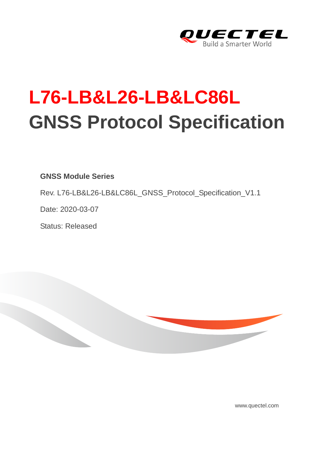

## **L76-LB&L26-LB&LC86L GNSS Protocol Specification**

## **GNSS Module Series**

Rev. L76-LB&L26-LB&LC86L\_GNSS\_Protocol\_Specification\_V1.1

Date: 2020-03-07

Status: Released



www.quectel.com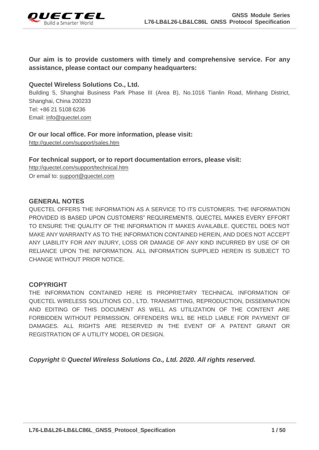

## **Our aim is to provide customers with timely and comprehensive service. For any assistance, please contact our company headquarters:**

## **Quectel Wireless Solutions Co., Ltd.**

Building 5, Shanghai Business Park Phase III (Area B), No.1016 Tianlin Road, Minhang District, Shanghai, China 200233 Tel: +86 21 5108 6236 Email: [info@quectel.com](mailto:info@quectel.com)

## **Or our local office. For more information, please visit:**

<http://quectel.com/support/sales.htm>

## **For technical support, or to report documentation errors, please visit:**

<http://quectel.com/support/technical.htm> Or email to: [support@quectel.com](mailto:support@quectel.com)

#### **GENERAL NOTES**

QUECTEL OFFERS THE INFORMATION AS A SERVICE TO ITS CUSTOMERS. THE INFORMATION PROVIDED IS BASED UPON CUSTOMERS" REQUIREMENTS. QUECTEL MAKES EVERY EFFORT TO ENSURE THE QUALITY OF THE INFORMATION IT MAKES AVAILABLE. QUECTEL DOES NOT MAKE ANY WARRANTY AS TO THE INFORMATION CONTAINED HEREIN, AND DOES NOT ACCEPT ANY LIABILITY FOR ANY INJURY, LOSS OR DAMAGE OF ANY KIND INCURRED BY USE OF OR RELIANCE UPON THE INFORMATION. ALL INFORMATION SUPPLIED HEREIN IS SUBJECT TO CHANGE WITHOUT PRIOR NOTICE.

## **COPYRIGHT**

THE INFORMATION CONTAINED HERE IS PROPRIETARY TECHNICAL INFORMATION OF QUECTEL WIRELESS SOLUTIONS CO., LTD. TRANSMITTING, REPRODUCTION, DISSEMINATION AND EDITING OF THIS DOCUMENT AS WELL AS UTILIZATION OF THE CONTENT ARE FORBIDDEN WITHOUT PERMISSION. OFFENDERS WILL BE HELD LIABLE FOR PAYMENT OF DAMAGES. ALL RIGHTS ARE RESERVED IN THE EVENT OF A PATENT GRANT OR REGISTRATION OF A UTILITY MODEL OR DESIGN.

*Copyright © Quectel Wireless Solutions Co., Ltd. 2020. All rights reserved.*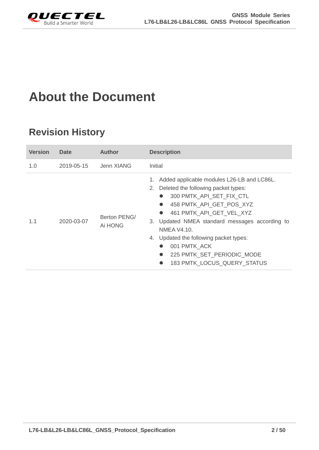<span id="page-2-0"></span>

## **About the Document**

## **Revision History**

| <b>Version</b> | <b>Date</b> | <b>Author</b>           | <b>Description</b>                                                                                                                                                                                                                                                                                                                                                                         |  |  |
|----------------|-------------|-------------------------|--------------------------------------------------------------------------------------------------------------------------------------------------------------------------------------------------------------------------------------------------------------------------------------------------------------------------------------------------------------------------------------------|--|--|
| 1.0            | 2019-05-15  | Jenn XIANG              | Initial                                                                                                                                                                                                                                                                                                                                                                                    |  |  |
| 1.1            | 2020-03-07  | Berton PENG/<br>Ai HONG | Added applicable modules L26-LB and LC86L.<br>1.<br>2. Deleted the following packet types:<br>300 PMTK API SET FIX CTL<br>458 PMTK API GET POS XYZ<br>461 PMTK API GET VEL XYZ<br>$\bullet$<br>3. Updated NMEA standard messages according to<br>NMEA V4.10.<br>4. Updated the following packet types:<br>001 PMTK_ACK<br>225 PMTK SET PERIODIC MODE<br><b>183 PMTK LOCUS QUERY STATUS</b> |  |  |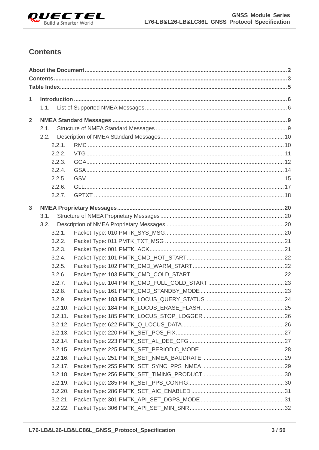

## <span id="page-3-0"></span>**Contents**

| 1              | 1.1.    |  |
|----------------|---------|--|
| $\overline{2}$ |         |  |
|                | 2.1.    |  |
|                | 2.2.    |  |
|                | 2.2.1.  |  |
|                | 2.2.2.  |  |
|                | 2.2.3.  |  |
|                | 2.2.4.  |  |
|                | 2.2.5.  |  |
|                | 2.2.6.  |  |
|                | 2.2.7.  |  |
| 3              |         |  |
|                | 3.1.    |  |
|                | 3.2.    |  |
|                | 3.2.1.  |  |
|                | 3.2.2.  |  |
|                | 3.2.3.  |  |
|                | 3.2.4.  |  |
|                | 3.2.5.  |  |
|                | 3.2.6.  |  |
|                | 3.2.7.  |  |
|                | 3.2.8.  |  |
|                | 3.2.9.  |  |
|                | 3.2.10. |  |
|                | 3.2.11. |  |
|                | 3.2.12. |  |
|                | 3.2.13. |  |
|                | 3.2.14. |  |
|                | 3.2.15. |  |
|                | 3.2.16. |  |
|                | 3.2.17. |  |
|                | 3.2.18. |  |
|                | 3.2.19. |  |
|                | 3.2.20. |  |
|                | 3.2.21. |  |
|                |         |  |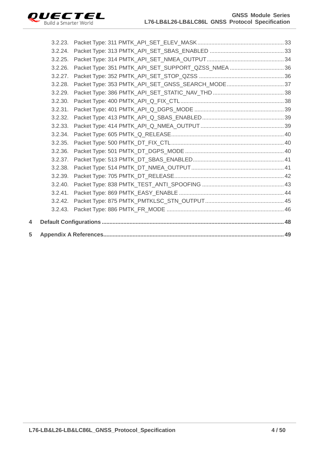

| 5 |         |                                                     |  |
|---|---------|-----------------------------------------------------|--|
| 4 |         |                                                     |  |
|   | 3.2.43. |                                                     |  |
|   | 3.2.42. |                                                     |  |
|   | 3.2.41. |                                                     |  |
|   | 3.2.40. |                                                     |  |
|   | 3.2.39. |                                                     |  |
|   | 3.2.38. |                                                     |  |
|   | 3.2.37. |                                                     |  |
|   | 3.2.36. |                                                     |  |
|   | 3.2.35. |                                                     |  |
|   | 3.2.34. |                                                     |  |
|   | 3.2.33. |                                                     |  |
|   | 3.2.32. |                                                     |  |
|   | 3.2.31. |                                                     |  |
|   | 3.2.30. |                                                     |  |
|   | 3.2.29. |                                                     |  |
|   | 3.2.28. | Packet Type: 353 PMTK_API_SET_GNSS_SEARCH_MODE 37   |  |
|   | 3.2.27. |                                                     |  |
|   | 3.2.26. | Packet Type: 351 PMTK_API_SET_SUPPORT_QZSS_NMEA  36 |  |
|   | 3.2.25. |                                                     |  |
|   | 3.2.24. |                                                     |  |
|   |         |                                                     |  |
|   |         |                                                     |  |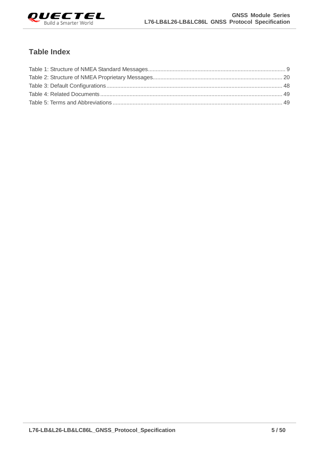

## <span id="page-5-0"></span>**Table Index**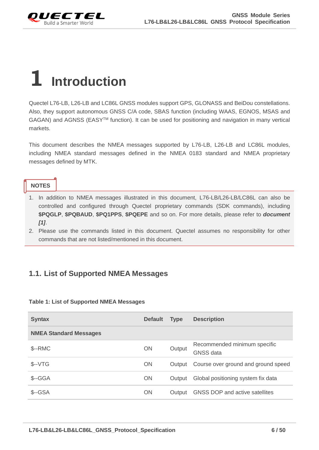<span id="page-6-0"></span>

## **1 Introduction**

Quectel L76-LB, L26-LB and LC86L GNSS modules support GPS, GLONASS and BeiDou constellations. Also, they support autonomous GNSS C/A code, SBAS function (including WAAS, EGNOS, MSAS and GAGAN) and AGNSS (EASY<sup>™</sup> function). It can be used for positioning and navigation in many vertical markets.

This document describes the NMEA messages supported by L76-LB, L26-LB and LC86L modules, including NMEA standard messages defined in the NMEA 0183 standard and NMEA proprietary messages defined by MTK.

## **NOTES**

- 1. In addition to NMEA messages illustrated in this document, L76-LB/L26-LB/LC86L can also be controlled and configured through Quectel proprietary commands (SDK commands), including **\$PQGLP**, **\$PQBAUD**, **\$PQ1PPS**, **\$PQEPE** and so on. For more details, please refer to *document [1]*.
- 2. Please use the commands listed in this document. Quectel assumes no responsibility for other commands that are not listed/mentioned in this document.

## <span id="page-6-1"></span>**1.1. List of Supported NMEA Messages**

|  |  |  | Table 1: List of Supported NMEA Messages |
|--|--|--|------------------------------------------|
|  |  |  |                                          |

| <b>Syntax</b>                 | <b>Default</b> | <b>Type</b> | <b>Description</b>                               |
|-------------------------------|----------------|-------------|--------------------------------------------------|
| <b>NMEA Standard Messages</b> |                |             |                                                  |
| $S-RMC$                       | <b>ON</b>      | Output      | Recommended minimum specific<br><b>GNSS</b> data |
| $$--VTG$                      | <b>ON</b>      | Output      | Course over ground and ground speed              |
| $S-GGA$                       | <b>ON</b>      | Output      | Global positioning system fix data               |
| $S - GSA$                     | <b>ON</b>      | Output      | GNSS DOP and active satellites                   |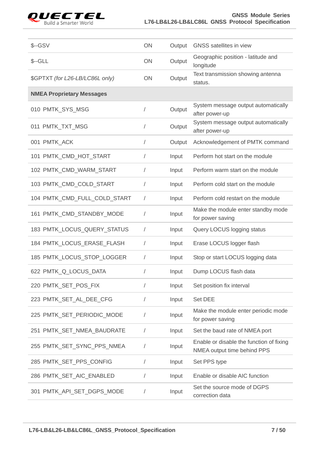

## GNSS Module Series<br>Build a Smarter World **L76-LB&L26-LB&LC86L GNSS Protocol Specification L76-LB&L26-LB&LC86L GNSS Protocol Specification**

| $$--GSV$                         | ON         | Output | <b>GNSS</b> satellites in view                                          |
|----------------------------------|------------|--------|-------------------------------------------------------------------------|
| $S - GLL$                        | ON         | Output | Geographic position - latitude and<br>longitude                         |
| \$GPTXT (for L26-LB/LC86L only)  | ON         | Output | Text transmission showing antenna<br>status.                            |
| <b>NMEA Proprietary Messages</b> |            |        |                                                                         |
| 010 PMTK_SYS_MSG                 |            | Output | System message output automatically<br>after power-up                   |
| 011 PMTK_TXT_MSG                 |            | Output | System message output automatically<br>after power-up                   |
| 001 PMTK_ACK                     | $\sqrt{2}$ | Output | Acknowledgement of PMTK command                                         |
| 101 PMTK_CMD_HOT_START           | $\sqrt{2}$ | Input  | Perform hot start on the module                                         |
| 102 PMTK_CMD_WARM_START          |            | Input  | Perform warm start on the module                                        |
| 103 PMTK_CMD_COLD_START          |            | Input  | Perform cold start on the module                                        |
| 104 PMTK_CMD_FULL_COLD_START     | $\sqrt{2}$ | Input  | Perform cold restart on the module                                      |
| 161 PMTK_CMD_STANDBY_MODE        | $\sqrt{2}$ | Input  | Make the module enter standby mode<br>for power saving                  |
| 183 PMTK_LOCUS_QUERY_STATUS      | $\sqrt{2}$ | Input  | Query LOCUS logging status                                              |
| 184 PMTK_LOCUS_ERASE_FLASH       | $\sqrt{2}$ | Input  | Erase LOCUS logger flash                                                |
| 185 PMTK_LOCUS_STOP_LOGGER       | $\sqrt{2}$ | Input  | Stop or start LOCUS logging data                                        |
| 622 PMTK_Q_LOCUS_DATA            |            | Input  | Dump LOCUS flash data                                                   |
| 220 PMTK_SET_POS_FIX             |            | Input  | Set position fix interval                                               |
| 223 PMTK_SET_AL_DEE_CFG          | $\sqrt{2}$ | Input  | Set DEE                                                                 |
| 225 PMTK_SET_PERIODIC_MODE       |            | Input  | Make the module enter periodic mode<br>for power saving                 |
| 251 PMTK_SET_NMEA_BAUDRATE       | $\sqrt{2}$ | Input  | Set the baud rate of NMEA port                                          |
| 255 PMTK_SET_SYNC_PPS_NMEA       | $\sqrt{2}$ | Input  | Enable or disable the function of fixing<br>NMEA output time behind PPS |
| 285 PMTK_SET_PPS_CONFIG          |            | Input  | Set PPS type                                                            |
| 286 PMTK_SET_AIC_ENABLED         | T          | Input  | Enable or disable AIC function                                          |
| 301 PMTK_API_SET_DGPS_MODE       |            | Input  | Set the source mode of DGPS<br>correction data                          |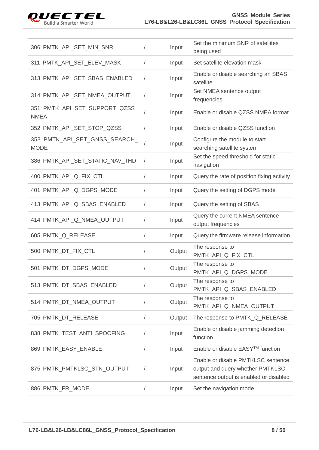

| 306 PMTK_API_SET_MIN_SNR                      |            | Input  | Set the minimum SNR of satellites<br>being used                                                                  |
|-----------------------------------------------|------------|--------|------------------------------------------------------------------------------------------------------------------|
| 311 PMTK_API_SET_ELEV_MASK                    | $\sqrt{2}$ | Input  | Set satellite elevation mask                                                                                     |
| 313 PMTK API SET SBAS ENABLED                 | $\sqrt{2}$ | Input  | Enable or disable searching an SBAS<br>satellite                                                                 |
| 314 PMTK_API_SET_NMEA_OUTPUT                  | $\sqrt{2}$ | Input  | Set NMEA sentence output<br>frequencies                                                                          |
| 351 PMTK_API_SET_SUPPORT_QZSS_<br><b>NMEA</b> | $\sqrt{2}$ | Input  | Enable or disable QZSS NMEA format                                                                               |
| 352 PMTK_API_SET_STOP_QZSS                    | $\sqrt{2}$ | Input  | Enable or disable QZSS function                                                                                  |
| 353 PMTK_API_SET_GNSS_SEARCH_<br><b>MODE</b>  |            | Input  | Configure the module to start<br>searching satellite system                                                      |
| 386 PMTK_API_SET_STATIC_NAV_THD               | $\sqrt{2}$ | Input  | Set the speed threshold for static<br>navigation                                                                 |
| 400 PMTK_API_Q_FIX_CTL                        | $\sqrt{2}$ | Input  | Query the rate of position fixing activity                                                                       |
| 401 PMTK API Q DGPS MODE                      | $\sqrt{2}$ | Input  | Query the setting of DGPS mode                                                                                   |
| 413 PMTK_API_Q_SBAS_ENABLED                   | $\sqrt{2}$ | Input  | Query the setting of SBAS                                                                                        |
| 414 PMTK_API_Q_NMEA_OUTPUT                    |            | Input  | Query the current NMEA sentence<br>output frequencies                                                            |
| 605 PMTK_Q_RELEASE                            |            | Input  | Query the firmware release information                                                                           |
| 500 PMTK_DT_FIX_CTL                           | $\sqrt{2}$ | Output | The response to<br>PMTK_API_Q_FIX_CTL                                                                            |
| 501 PMTK_DT_DGPS_MODE                         |            | Output | The response to<br>PMTK_API_Q_DGPS_MODE                                                                          |
| 513 PMTK_DT_SBAS_ENABLED                      |            | Output | The response to<br>PMTK_API_Q_SBAS_ENABLED                                                                       |
| 514 PMTK_DT_NMEA_OUTPUT                       | $\sqrt{2}$ | Output | The response to<br>PMTK_API_Q_NMEA_OUTPUT                                                                        |
| 705 PMTK_DT_RELEASE                           | $\sqrt{2}$ | Output | The response to PMTK_Q_RELEASE                                                                                   |
| 838 PMTK_TEST_ANTI_SPOOFING                   |            | Input  | Enable or disable jamming detection<br>function                                                                  |
| 869 PMTK_EASY_ENABLE                          |            | Input  | Enable or disable EASY™ function                                                                                 |
| 875 PMTK_PMTKLSC_STN_OUTPUT                   | $\sqrt{2}$ | Input  | Enable or disable PMTKLSC sentence<br>output and query whether PMTKLSC<br>sentence output is enabled or disabled |
| 886 PMTK_FR_MODE                              | $\sqrt{2}$ | Input  | Set the navigation mode                                                                                          |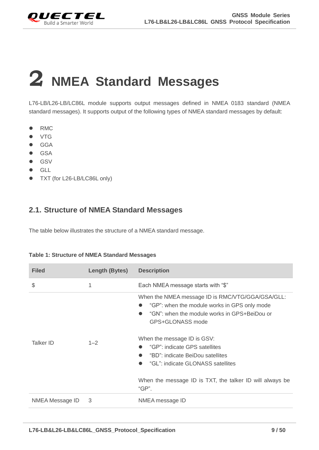<span id="page-9-0"></span>

# **2 NMEA Standard Messages**

L76-LB/L26-LB/LC86L module supports output messages defined in NMEA 0183 standard (NMEA standard messages). It supports output of the following types of NMEA standard messages by default:

- RMC
- **•** VTG
- **•** GGA
- **•** GSA
- $\bullet$  GSV
- **•** GLL
- TXT (for L26-LB/LC86L only)

## <span id="page-9-1"></span>**2.1. Structure of NMEA Standard Messages**

The table below illustrates the structure of a NMEA standard message.

| <b>Filed</b>     | Length (Bytes) | <b>Description</b>                                                                                                                                                                                                 |
|------------------|----------------|--------------------------------------------------------------------------------------------------------------------------------------------------------------------------------------------------------------------|
| \$               | 1              | Each NMEA message starts with "\$"                                                                                                                                                                                 |
|                  |                | When the NMEA message ID is RMC/VTG/GGA/GSA/GLL:<br>"GP": when the module works in GPS only mode<br>"GN": when the module works in GPS+BeiDou or<br>$\bullet$<br>GPS+GLONASS mode<br>When the message ID is GSV:   |
| <b>Talker ID</b> | $1 - 2$        | "GP": indicate GPS satellites<br>$\bullet$<br>"BD": indicate BeiDou satellites<br>$\bullet$<br>"GL": indicate GLONASS satellites<br>$\bullet$<br>When the message ID is TXT, the talker ID will always be<br>"GP". |
| NMEA Message ID  | 3              | NMEA message ID                                                                                                                                                                                                    |

#### <span id="page-9-2"></span>**Table 1: Structure of NMEA Standard Messages**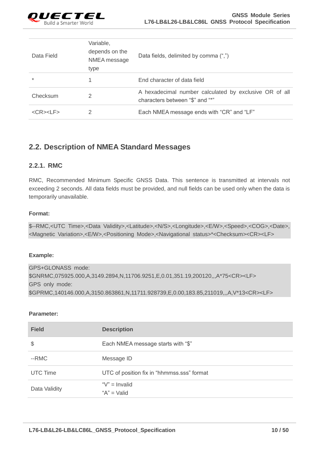

| Data Field            | Variable,<br>depends on the<br>NMEA message<br>type | Data fields, delimited by comma (",")                                                     |
|-----------------------|-----------------------------------------------------|-------------------------------------------------------------------------------------------|
| $\ast$                |                                                     | End character of data field                                                               |
| Checksum              | 2                                                   | A hexadecimal number calculated by exclusive OR of all<br>characters between "\$" and "*" |
| $<$ CR $>$ $<$ LF $>$ |                                                     | Each NMEA message ends with "CR" and "LF"                                                 |

## <span id="page-10-0"></span>**2.2. Description of NMEA Standard Messages**

#### <span id="page-10-1"></span>**2.2.1. RMC**

RMC, Recommended Minimum Specific GNSS Data. This sentence is transmitted at intervals not exceeding 2 seconds. All data fields must be provided, and null fields can be used only when the data is temporarily unavailable.

#### **Format:**

|  |  | \$--RMC, <utc_time>,<data_validity>,<latitude>,<n s="">,<longitude>,<e w="">,<speed>,<cog>,<date>,</date></cog></speed></e></longitude></n></latitude></data_validity></utc_time> |  |
|--|--|-----------------------------------------------------------------------------------------------------------------------------------------------------------------------------------|--|
|  |  | <magnetic variation="">,<e w="">,<positioning mode="">,<navigational status="">*<checksum><cr><lf></lf></cr></checksum></navigational></positioning></e></magnetic>               |  |

#### **Example:**

GPS+GLONASS mode: \$GNRMC,075925.000,A,3149.2894,N,11706.9251,E,0.01,351.19,200120,,,A\*75<CR><LF> GPS only mode: \$GPRMC,140146.000,A,3150.863861,N,11711.928739,E,0.00,183.85,211019,,,A,V\*13<CR><LF>

#### **Parameter:**

| <b>Field</b>    | <b>Description</b>                         |
|-----------------|--------------------------------------------|
| \$              | Each NMEA message starts with "\$"         |
| --RMC           | Message ID                                 |
| <b>UTC Time</b> | UTC of position fix in "hhmmss.sss" format |
| Data Validity   | " $V$ " = Invalid<br>" $A$ " = Valid       |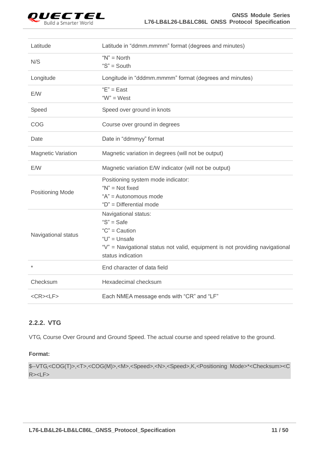

| Latitude                  | Latitude in "ddmm.mmmm" format (degrees and minutes)                                                                                                                                 |  |  |
|---------------------------|--------------------------------------------------------------------------------------------------------------------------------------------------------------------------------------|--|--|
| N/S                       | " $N$ " = North<br>" $S$ " = South                                                                                                                                                   |  |  |
| Longitude                 | Longitude in "dddmm.mmmm" format (degrees and minutes)                                                                                                                               |  |  |
| E/W                       | $E" = East$<br>" $W$ " = West                                                                                                                                                        |  |  |
| Speed                     | Speed over ground in knots                                                                                                                                                           |  |  |
| COG                       | Course over ground in degrees                                                                                                                                                        |  |  |
| Date                      | Date in "ddmmyy" format                                                                                                                                                              |  |  |
| <b>Magnetic Variation</b> | Magnetic variation in degrees (will not be output)                                                                                                                                   |  |  |
| E/W                       | Magnetic variation E/W indicator (will not be output)                                                                                                                                |  |  |
| <b>Positioning Mode</b>   | Positioning system mode indicator:<br>" $N$ " = Not fixed<br>"A" = Autonomous mode<br>"D" = Differential mode                                                                        |  |  |
| Navigational status       | Navigational status:<br>" $S$ " = Safe<br>" $C$ " = Caution<br>" $U$ " = Unsafe<br>"V" = Navigational status not valid, equipment is not providing navigational<br>status indication |  |  |
| $^{\star}$                | End character of data field                                                                                                                                                          |  |  |
| Checksum                  | Hexadecimal checksum                                                                                                                                                                 |  |  |
| $<$ CR> $<$ LF>           | Each NMEA message ends with "CR" and "LF"                                                                                                                                            |  |  |

## <span id="page-11-0"></span>**2.2.2. VTG**

VTG, Course Over Ground and Ground Speed. The actual course and speed relative to the ground.

## **Format:**

\$--VTG,<COG(T)>,<T>,<COG(M)>,<M>,<Speed>,<N>,<Speed>,K,<Positioning Mode>\*<Checksum><C R><LF>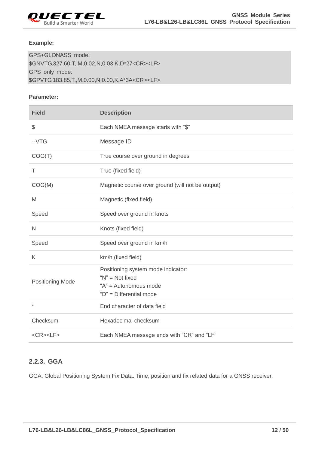

#### **Example:**

GPS+GLONASS mode: \$GNVTG,327.60,T,,M,0.02,N,0.03,K,D\*27<CR><LF> GPS only mode: \$GPVTG,183.85,T,,M,0.00,N,0.00,K,A\*3A<CR><LF>

#### **Parameter:**

| <b>Field</b>            | <b>Description</b>                                                                                            |  |  |
|-------------------------|---------------------------------------------------------------------------------------------------------------|--|--|
| \$                      | Each NMEA message starts with "\$"                                                                            |  |  |
| $-VTG$                  | Message ID                                                                                                    |  |  |
| COG(T)                  | True course over ground in degrees                                                                            |  |  |
| T                       | True (fixed field)                                                                                            |  |  |
| COG(M)                  | Magnetic course over ground (will not be output)                                                              |  |  |
| M                       | Magnetic (fixed field)                                                                                        |  |  |
| Speed                   | Speed over ground in knots                                                                                    |  |  |
| N                       | Knots (fixed field)                                                                                           |  |  |
| Speed                   | Speed over ground in km/h                                                                                     |  |  |
| K                       | km/h (fixed field)                                                                                            |  |  |
| <b>Positioning Mode</b> | Positioning system mode indicator:<br>" $N$ " = Not fixed<br>"A" = Autonomous mode<br>"D" = Differential mode |  |  |
| $\star$                 | End character of data field                                                                                   |  |  |
| Checksum                | Hexadecimal checksum                                                                                          |  |  |
| $<$ CR> $<$ LF>         | Each NMEA message ends with "CR" and "LF"                                                                     |  |  |

## <span id="page-12-0"></span>**2.2.3. GGA**

GGA, Global Positioning System Fix Data. Time, position and fix related data for a GNSS receiver.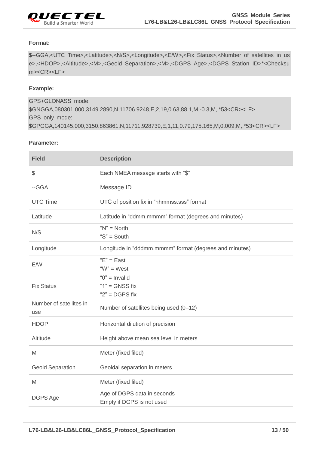

#### **Format:**

\$--GGA,<UTC Time>,<Latitude>,<N/S>,<Longitude>,<E/W>,<Fix Status>,<Number of satellites in us e>,<HDOP>,<Altitude>,<M>,<Geoid Separation>,<M>,<DGPS Age>,<DGPS Station ID>\*<Checksu m><CR><LF>

#### **Example:**

GPS+GLONASS mode: \$GNGGA,080301.000,3149.2890,N,11706.9248,E,2,19,0.63,88.1,M,-0.3,M,,\*53<CR><LF> GPS only mode: \$GPGGA,140145.000,3150.863861,N,11711.928739,E,1,11,0.79,175.165,M,0.009,M,,\*53<CR><LF>

#### **Parameter:**

| <b>Field</b>                   | <b>Description</b>                                          |  |  |
|--------------------------------|-------------------------------------------------------------|--|--|
| \$                             | Each NMEA message starts with "\$"                          |  |  |
| --GGA                          | Message ID                                                  |  |  |
| <b>UTC Time</b>                | UTC of position fix in "hhmmss.sss" format                  |  |  |
| Latitude                       | Latitude in "ddmm.mmmm" format (degrees and minutes)        |  |  |
| N/S                            | " $N$ " = North<br>" $S$ " = South                          |  |  |
| Longitude                      | Longitude in "dddmm.mmmm" format (degrees and minutes)      |  |  |
| E/W                            | $E" = East$<br>" $W$ " = West                               |  |  |
| <b>Fix Status</b>              | " $0$ " = Invalid<br>" $1"$ = GNSS fix<br>" $2"$ = DGPS fix |  |  |
| Number of satellites in<br>use | Number of satellites being used (0-12)                      |  |  |
| <b>HDOP</b>                    | Horizontal dilution of precision                            |  |  |
| Altitude                       | Height above mean sea level in meters                       |  |  |
| M                              | Meter (fixed filed)                                         |  |  |
| <b>Geoid Separation</b>        | Geoidal separation in meters                                |  |  |
| M                              | Meter (fixed filed)                                         |  |  |
| DGPS Age                       | Age of DGPS data in seconds<br>Empty if DGPS is not used    |  |  |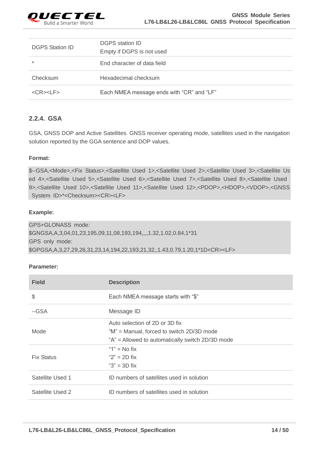

| <b>DGPS Station ID</b> | <b>DGPS station ID</b><br>Empty if DGPS is not used |
|------------------------|-----------------------------------------------------|
| $\star$                | End character of data field                         |
| Checksum               | Hexadecimal checksum                                |
| $<$ CR> $<$ LF>        | Each NMEA message ends with "CR" and "LF"           |

## <span id="page-14-0"></span>**2.2.4. GSA**

GSA, GNSS DOP and Active Satellites. GNSS receiver operating mode, satellites used in the navigation solution reported by the GGA sentence and DOP values.

#### **Format:**

\$--GSA,<Mode>,<Fix Status>,<Satellite Used 1>,<Satellite Used 2>,<Satellite Used 3>,<Satellite Us ed 4>,<Satellite Used 5>,<Satellite Used 6>,<Satellite Used 7>,<Satellite Used 8>,<Satellite Used 9>,<Satellite Used 10>,<Satellite Used 11>,<Satellite Used 12>,<PDOP>,<HDOP>,<VDOP>,<GNSS System ID>\*<Checksum><CR><LF>

#### **Example:**

GPS+GLONASS mode: \$GNGSA,A,3,04,01,23,195,09,11,08,193,194,,,,1.32,1.02,0.84,1\*31 GPS only mode: \$GPGSA,A,3,27,29,26,31,23,14,194,22,193,21,32,,1.43,0.79,1.20,1\*1D<CR><LF>

#### **Parameter:**

| <b>Field</b>      | <b>Description</b>                               |  |
|-------------------|--------------------------------------------------|--|
| \$                | Each NMEA message starts with "\$"               |  |
| --GSA             | Message ID                                       |  |
|                   | Auto selection of 2D or 3D fix                   |  |
| Mode              | "M" = Manual, forced to switch 2D/3D mode        |  |
|                   | "A" = Allowed to automatically switch 2D/3D mode |  |
|                   | "1" $=$ No fix                                   |  |
| <b>Fix Status</b> | " $2" = 2D$ fix                                  |  |
|                   | " $3" = 3D$ fix                                  |  |
| Satellite Used 1  | ID numbers of satellites used in solution        |  |
| Satellite Used 2  | ID numbers of satellites used in solution        |  |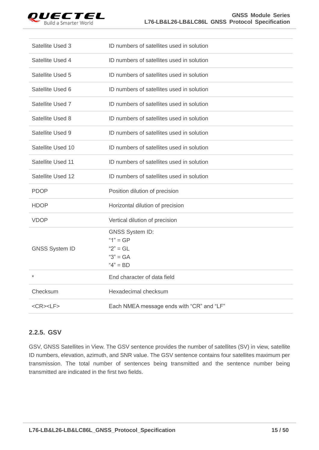

| Satellite Used 3      | ID numbers of satellites used in solution                                       |  |  |
|-----------------------|---------------------------------------------------------------------------------|--|--|
| Satellite Used 4      | ID numbers of satellites used in solution                                       |  |  |
| Satellite Used 5      | ID numbers of satellites used in solution                                       |  |  |
| Satellite Used 6      | ID numbers of satellites used in solution                                       |  |  |
| Satellite Used 7      | ID numbers of satellites used in solution                                       |  |  |
| Satellite Used 8      | ID numbers of satellites used in solution                                       |  |  |
| Satellite Used 9      | ID numbers of satellites used in solution                                       |  |  |
| Satellite Used 10     | ID numbers of satellites used in solution                                       |  |  |
| Satellite Used 11     | ID numbers of satellites used in solution                                       |  |  |
| Satellite Used 12     | ID numbers of satellites used in solution                                       |  |  |
| <b>PDOP</b>           | Position dilution of precision                                                  |  |  |
| <b>HDOP</b>           | Horizontal dilution of precision                                                |  |  |
| <b>VDOP</b>           | Vertical dilution of precision                                                  |  |  |
| <b>GNSS System ID</b> | <b>GNSS System ID:</b><br>" $1" = GP$<br>$"2" = GL$<br>" $3" = GA$<br>$4" = BD$ |  |  |
| $\star$               | End character of data field                                                     |  |  |
| Checksum              | Hexadecimal checksum                                                            |  |  |
| $<$ CR> $<$ LF>       | Each NMEA message ends with "CR" and "LF"                                       |  |  |

## <span id="page-15-0"></span>**2.2.5. GSV**

GSV, GNSS Satellites in View. The GSV sentence provides the number of satellites (SV) in view, satellite ID numbers, elevation, azimuth, and SNR value. The GSV sentence contains four satellites maximum per transmission. The total number of sentences being transmitted and the sentence number being transmitted are indicated in the first two fields.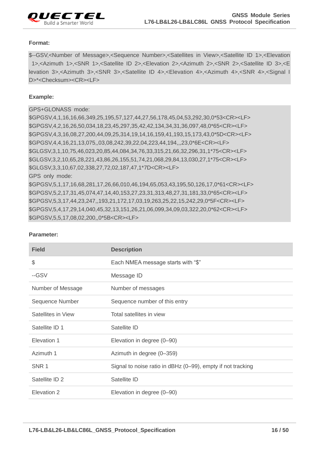

#### **Format:**

\$--GSV,<Number of Message>,<Sequence Number>,<Satellites in View>,<Satellite ID 1>,<Elevation 1>,<Azimuth 1>,<SNR 1>,<Satellite ID 2>,<Elevation 2>,<Azimuth 2>,<SNR 2>,<Satellite ID 3>,<E levation 3>,<Azimuth 3>,<SNR 3>,<Satellite ID 4>,<Elevation 4>,<Azimuth 4>,<SNR 4>,<Signal I D>\*<Checksum><CR><LF>

#### **Example:**

#### GPS+GLONASS mode:

\$GPGSV,4,1,16,16,66,349,25,195,57,127,44,27,56,178,45,04,53,292,30,0\*53<CR><LF> \$GPGSV,4,2,16,26,50,034,18,23,45,297,35,42,42,134,34,31,36,097,48,0\*65<CR><LF> \$GPGSV,4,3,16,08,27,200,44,09,25,314,19,14,16,159,41,193,15,173,43,0\*5D<CR><LF> \$GPGSV,4,4,16,21,13,075,,03,08,242,39,22,04,223,44,194,,,23,0\*6E<CR><LF> \$GLGSV,3,1,10,75,46,023,20,85,44,084,34,76,33,315,21,66,32,296,31,1\*75<CR><LF> \$GLGSV,3,2,10,65,28,221,43,86,26,155,51,74,21,068,29,84,13,030,27,1\*75<CR><LF> \$GLGSV,3,3,10,67,02,338,27,72,02,187,47,1\*7D<CR><LF> GPS only mode: \$GPGSV,5,1,17,16,68,281,17,26,66,010,46,194,65,053,43,195,50,126,17,0\*61<CR><LF>

\$GPGSV,5,2,17,31,45,074,47,14,40,153,27,23,31,313,48,27,31,181,33,0\*65<CR><LF> \$GPGSV,5,3,17,44,23,247,,193,21,172,17,03,19,263,25,22,15,242,29,0\*5F<CR><LF> \$GPGSV,5,4,17,29,14,040,45,32,13,151,26,21,06,099,34,09,03,322,20,0\*62<CR><LF> \$GPGSV,5,5,17,08,02,200,,0\*5B<CR><LF>

| <b>Field</b>       | <b>Description</b>                                          |  |
|--------------------|-------------------------------------------------------------|--|
| $\frac{1}{2}$      | Each NMEA message starts with "\$"                          |  |
| --GSV              | Message ID                                                  |  |
| Number of Message  | Number of messages                                          |  |
| Sequence Number    | Sequence number of this entry                               |  |
| Satellites in View | Total satellites in view                                    |  |
| Satellite ID 1     | Satellite ID                                                |  |
| Elevation 1        | Elevation in degree (0-90)                                  |  |
| Azimuth 1          | Azimuth in degree (0-359)                                   |  |
| SNR 1              | Signal to noise ratio in dBHz (0-99), empty if not tracking |  |
| Satellite ID 2     | Satellite ID                                                |  |
| Elevation 2        | Elevation in degree (0-90)                                  |  |

#### **Parameter:**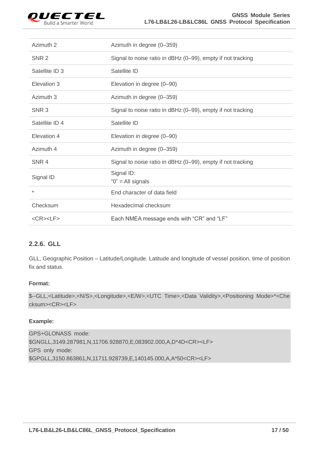

| Azimuth 2        | Azimuth in degree (0-359)                                   |  |  |
|------------------|-------------------------------------------------------------|--|--|
| SNR <sub>2</sub> | Signal to noise ratio in dBHz (0-99), empty if not tracking |  |  |
| Satellite ID 3   | Satellite ID                                                |  |  |
| Elevation 3      | Elevation in degree (0-90)                                  |  |  |
| Azimuth 3        | Azimuth in degree (0-359)                                   |  |  |
| SNR <sub>3</sub> | Signal to noise ratio in dBHz (0-99), empty if not tracking |  |  |
| Satellite ID 4   | Satellite ID                                                |  |  |
| Elevation 4      | Elevation in degree (0-90)                                  |  |  |
| Azimuth 4        | Azimuth in degree (0-359)                                   |  |  |
| SNR 4            | Signal to noise ratio in dBHz (0-99), empty if not tracking |  |  |
| Signal ID        | Signal ID:<br>" $0$ " = All signals                         |  |  |
| $\star$          | End character of data field                                 |  |  |
| Checksum         | Hexadecimal checksum                                        |  |  |
| $<$ CR> $<$ LF>  | Each NMEA message ends with "CR" and "LF"                   |  |  |

## <span id="page-17-0"></span>**2.2.6. GLL**

GLL, Geographic Position – Latitude/Longitude. Latitude and longitude of vessel position, time of position fix and status.

#### **Format:**

\$--GLL,<Latitude>,<N/S>,<Longitude>,<E/W>,<UTC Time>,<Data Validity>,<Positioning Mode>\*<Che cksum><CR><LF>

#### **Example:**

GPS+GLONASS mode: \$GNGLL,3149.287981,N,11706.928870,E,083902.000,A,D\*4D<CR><LF> GPS only mode: \$GPGLL,3150.863861,N,11711.928739,E,140145.000,A,A\*50<CR><LF>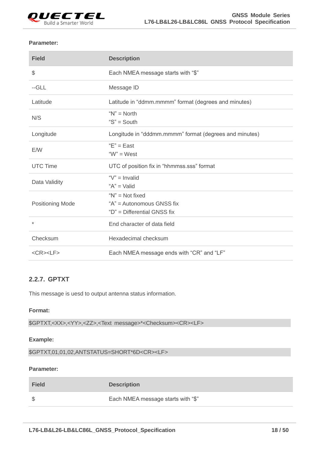

#### **Parameter:**

| <b>Field</b>            | <b>Description</b>                                                              |  |  |
|-------------------------|---------------------------------------------------------------------------------|--|--|
| \$                      | Each NMEA message starts with "\$"                                              |  |  |
| $-GLL$                  | Message ID                                                                      |  |  |
| Latitude                | Latitude in "ddmm.mmmm" format (degrees and minutes)                            |  |  |
| N/S                     | " $N$ " = North<br>" $S$ " = South                                              |  |  |
| Longitude               | Longitude in "dddmm.mmmm" format (degrees and minutes)                          |  |  |
| E/W                     | $E" = East$<br>" $W$ " = West                                                   |  |  |
| <b>UTC Time</b>         | UTC of position fix in "hhmmss.sss" format                                      |  |  |
| Data Validity           | " $V$ " = Invalid<br>" $A$ " = Valid                                            |  |  |
| <b>Positioning Mode</b> | " $N$ " = Not fixed<br>"A" = Autonomous GNSS fix<br>"D" = Differential GNSS fix |  |  |
| $\star$                 | End character of data field                                                     |  |  |
| Checksum                | Hexadecimal checksum                                                            |  |  |
| $<$ CR> $<$ LF>         | Each NMEA message ends with "CR" and "LF"                                       |  |  |

## <span id="page-18-0"></span>**2.2.7. GPTXT**

This message is uesd to output antenna status information.

#### **Format:**

\$GPTXT,<XX>,<YY>,<ZZ>,<Text message>\*<Checksum><CR><LF>

#### **Example:**

\$GPTXT,01,01,02,ANTSTATUS=SHORT\*6D<CR><LF>

#### **Parameter:**

| <b>Field</b> | <b>Description</b>                 |
|--------------|------------------------------------|
|              | Each NMEA message starts with "\$" |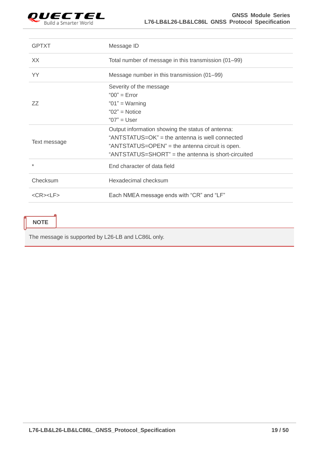

| <b>GPTXT</b>    | Message ID                                                                                                                                                                                                   |  |  |
|-----------------|--------------------------------------------------------------------------------------------------------------------------------------------------------------------------------------------------------------|--|--|
| XX.             | Total number of message in this transmission (01–99)                                                                                                                                                         |  |  |
| YY              | Message number in this transmission (01–99)                                                                                                                                                                  |  |  |
| 77              | Severity of the message<br>" $00"$ = Error<br>" $01"$ = Warning<br>" $02"$ = Notice<br>" $07$ " = User                                                                                                       |  |  |
| Text message    | Output information showing the status of antenna:<br>"ANTSTATUS=OK" = the antenna is well connected<br>"ANTSTATUS=OPEN" = the antenna circuit is open.<br>"ANTSTATUS=SHORT" = the antenna is short-circuited |  |  |
| $\ast$          | End character of data field                                                                                                                                                                                  |  |  |
| Checksum        | Hexadecimal checksum                                                                                                                                                                                         |  |  |
| $<$ CR> $<$ LF> | Each NMEA message ends with "CR" and "LF"                                                                                                                                                                    |  |  |
|                 |                                                                                                                                                                                                              |  |  |

## **NOTE**

The message is supported by L26-LB and LC86L only.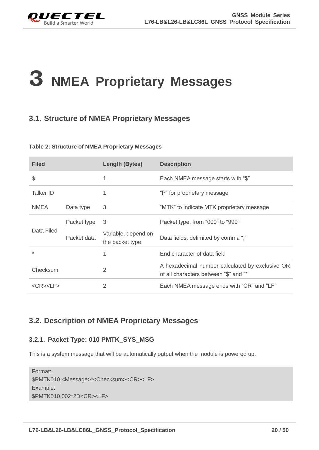<span id="page-20-0"></span>

## **3 NMEA Proprietary Messages**

## <span id="page-20-1"></span>**3.1. Structure of NMEA Proprietary Messages**

#### <span id="page-20-4"></span>**Table 2: Structure of NMEA Proprietary Messages**

| <b>Filed</b>           |             | Length (Bytes)                         | <b>Description</b>                                                                        |
|------------------------|-------------|----------------------------------------|-------------------------------------------------------------------------------------------|
| \$                     |             | 1                                      | Each NMEA message starts with "\$"                                                        |
| Talker ID              |             |                                        | "P" for proprietary message                                                               |
| <b>NMEA</b>            | Data type   | 3                                      | "MTK" to indicate MTK proprietary message                                                 |
| Data Filed             | Packet type | 3                                      | Packet type, from "000" to "999"                                                          |
|                        | Packet data | Variable, depend on<br>the packet type | Data fields, delimited by comma ","                                                       |
| $\ast$                 |             | 1                                      | End character of data field                                                               |
| Checksum               |             | $\overline{2}$                         | A hexadecimal number calculated by exclusive OR<br>of all characters between "\$" and "*" |
| $<$ CR $>$ $<$ l F $>$ |             | $\overline{2}$                         | Each NMEA message ends with "CR" and "LF"                                                 |

## <span id="page-20-2"></span>**3.2. Description of NMEA Proprietary Messages**

## <span id="page-20-3"></span>**3.2.1. Packet Type: 010 PMTK\_SYS\_MSG**

This is a system message that will be automatically output when the module is powered up.

Format: \$PMTK010,<Message>\*<Checksum><CR><LF> Example: \$PMTK010,002\*2D<CR><LF>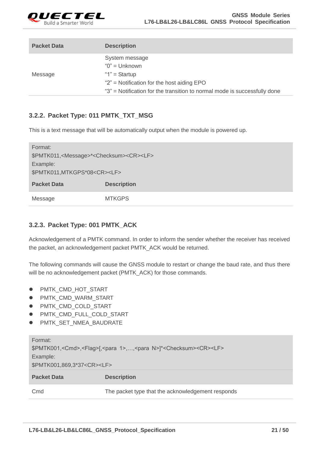

| <b>Packet Data</b> | <b>Description</b>                                                        |
|--------------------|---------------------------------------------------------------------------|
|                    | System message                                                            |
|                    | " $0$ " = Unknown                                                         |
| Message            | " $1"$ = Startup                                                          |
|                    | " $2$ " = Notification for the host aiding EPO                            |
|                    | "3" = Notification for the transition to normal mode is successfully done |

## <span id="page-21-0"></span>**3.2.2. Packet Type: 011 PMTK\_TXT\_MSG**

This is a text message that will be automatically output when the module is powered up.

| Format:                                                                |                    |  |
|------------------------------------------------------------------------|--------------------|--|
| \$PMTK011, <message>*<checksum><cr><lf></lf></cr></checksum></message> |                    |  |
| Example:                                                               |                    |  |
| \$PMTK011, MTKGPS*08 <cr><lf></lf></cr>                                |                    |  |
| <b>Packet Data</b>                                                     | <b>Description</b> |  |
| Message                                                                | <b>MTKGPS</b>      |  |

## <span id="page-21-1"></span>**3.2.3. Packet Type: 001 PMTK\_ACK**

Acknowledgement of a PMTK command. In order to inform the sender whether the receiver has received the packet, an acknowledgement packet PMTK\_ACK would be returned.

The following commands will cause the GNSS module to restart or change the baud rate, and thus there will be no acknowledgement packet (PMTK\_ACK) for those commands.

- PMTK\_CMD\_HOT\_START
- $\bullet$  PMTK\_CMD\_WARM\_START
- $\bullet$  PMTK\_CMD\_COLD\_START
- PMTK\_CMD\_FULL\_COLD\_START
- PMTK\_SET\_NMEA\_BAUDRATE

| Format:                                                                                                               |                                                   |  |
|-----------------------------------------------------------------------------------------------------------------------|---------------------------------------------------|--|
| \$PMTK001, <cmd>,<flag>[,<para 1="">,,<para n="">]*<checksum><cr><lf></lf></cr></checksum></para></para></flag></cmd> |                                                   |  |
| Example:                                                                                                              |                                                   |  |
| \$PMTK001,869,3*37 <cr><lf></lf></cr>                                                                                 |                                                   |  |
| <b>Packet Data</b>                                                                                                    | <b>Description</b>                                |  |
| Cmd                                                                                                                   | The packet type that the acknowledgement responds |  |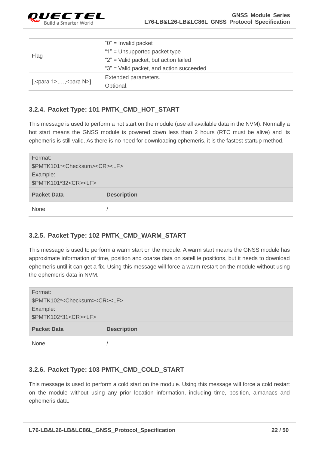

| Flag                            | " $0$ " = Invalid packet                 |
|---------------------------------|------------------------------------------|
|                                 | "1" = Unsupported packet type            |
|                                 | "2" = Valid packet, but action failed    |
|                                 | "3" = Valid packet, and action succeeded |
| [, < para $1$ >, , < para N > ] | Extended parameters.                     |
|                                 | Optional.                                |

## <span id="page-22-0"></span>**3.2.4. Packet Type: 101 PMTK\_CMD\_HOT\_START**

This message is used to perform a hot start on the module (use all available data in the NVM). Normally a hot start means the GNSS module is powered down less than 2 hours (RTC must be alive) and its ephemeris is still valid. As there is no need for downloading ephemeris, it is the fastest startup method.

| Format:<br>\$PMTK101* <checksum><cr><lf><br/>Example:<br/>\$PMTK101*32<cr><lf></lf></cr></lf></cr></checksum> |                    |
|---------------------------------------------------------------------------------------------------------------|--------------------|
| <b>Packet Data</b>                                                                                            | <b>Description</b> |
| <b>None</b>                                                                                                   |                    |

## <span id="page-22-1"></span>**3.2.5. Packet Type: 102 PMTK\_CMD\_WARM\_START**

This message is used to perform a warm start on the module. A warm start means the GNSS module has approximate information of time, position and coarse data on satellite positions, but it needs to download ephemeris until it can get a fix. Using this message will force a warm restart on the module without using the ephemeris data in NVM.

| Format:                                            |                    |
|----------------------------------------------------|--------------------|
| \$PMTK102* <checksum><cr><lf></lf></cr></checksum> |                    |
| Example:                                           |                    |
| \$PMTK102*31 <cr><lf></lf></cr>                    |                    |
| <b>Packet Data</b>                                 | <b>Description</b> |
|                                                    |                    |

## <span id="page-22-2"></span>**3.2.6. Packet Type: 103 PMTK\_CMD\_COLD\_START**

This message is used to perform a cold start on the module. Using this message will force a cold restart on the module without using any prior location information, including time, position, almanacs and ephemeris data.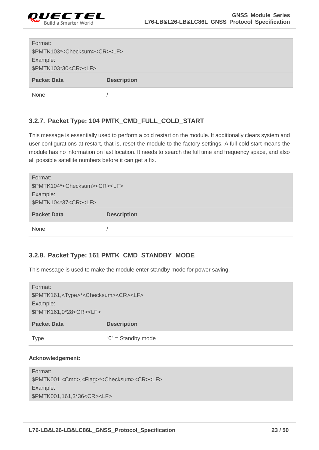

| Format:                                            |                    |
|----------------------------------------------------|--------------------|
| \$PMTK103* <checksum><cr><lf></lf></cr></checksum> |                    |
| Example:                                           |                    |
| \$PMTK103*30 <cr><lf></lf></cr>                    |                    |
| <b>Packet Data</b>                                 | <b>Description</b> |
| None                                               |                    |

## <span id="page-23-0"></span>**3.2.7. Packet Type: 104 PMTK\_CMD\_FULL\_COLD\_START**

This message is essentially used to perform a cold restart on the module. It additionally clears system and user configurations at restart, that is, reset the module to the factory settings. A full cold start means the module has no information on last location. It needs to search the full time and frequency space, and also all possible satellite numbers before it can get a fix.

| Format:                                            |                    |
|----------------------------------------------------|--------------------|
| \$PMTK104* <checksum><cr><lf></lf></cr></checksum> |                    |
| Example:                                           |                    |
| \$PMTK104*37 <cr><lf></lf></cr>                    |                    |
|                                                    |                    |
| <b>Packet Data</b>                                 | <b>Description</b> |

## <span id="page-23-1"></span>**3.2.8. Packet Type: 161 PMTK\_CMD\_STANDBY\_MODE**

This message is used to make the module enter standby mode for power saving.

| Format:                                                          |                        |
|------------------------------------------------------------------|------------------------|
| \$PMTK161, <type>*<checksum><cr><lf></lf></cr></checksum></type> |                        |
| Example:                                                         |                        |
| \$PMTK161,0*28 <cr><lf></lf></cr>                                |                        |
| <b>Packet Data</b>                                               | <b>Description</b>     |
| Type                                                             | " $0$ " = Standby mode |

#### **Acknowledgement:**

| Format:                                                                      |
|------------------------------------------------------------------------------|
| \$PMTK001, <cmd>,<flag>*<checksum><cr><lf></lf></cr></checksum></flag></cmd> |
| Example:                                                                     |
| \$PMTK001,161,3*36 <cr><lf></lf></cr>                                        |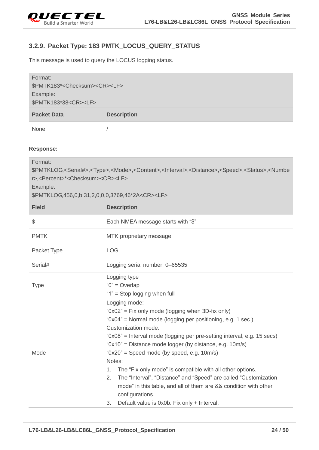

## <span id="page-24-0"></span>**3.2.9. Packet Type: 183 PMTK\_LOCUS\_QUERY\_STATUS**

This message is used to query the LOCUS logging status.

| Format:                                            |                    |  |  |
|----------------------------------------------------|--------------------|--|--|
| \$PMTK183* <checksum><cr><lf></lf></cr></checksum> |                    |  |  |
| Example:                                           |                    |  |  |
| \$PMTK183*38 <cr><lf></lf></cr>                    |                    |  |  |
| <b>Packet Data</b>                                 | <b>Description</b> |  |  |
| <b>None</b>                                        |                    |  |  |

#### **Response:**

| Format:<br>\$PMTKLOG, <serial#>,<type>,<mode>,<content>,<interval>,<distance>,<speed>,<status>,<numbe<br>r&gt;,<percent>*<checksum><cr><lf><br/>Example:<br/>\$PMTKLOG,456,0,b,31,2,0,0,0,3769,46*2A<cr><lf></lf></cr></lf></cr></checksum></percent></numbe<br></status></speed></distance></interval></content></mode></type></serial#> |                                                                                                                                                                                                                                                                                                                                                                                                                                                                                                                                                                                                                                                         |  |  |
|-------------------------------------------------------------------------------------------------------------------------------------------------------------------------------------------------------------------------------------------------------------------------------------------------------------------------------------------|---------------------------------------------------------------------------------------------------------------------------------------------------------------------------------------------------------------------------------------------------------------------------------------------------------------------------------------------------------------------------------------------------------------------------------------------------------------------------------------------------------------------------------------------------------------------------------------------------------------------------------------------------------|--|--|
| <b>Field</b>                                                                                                                                                                                                                                                                                                                              | <b>Description</b>                                                                                                                                                                                                                                                                                                                                                                                                                                                                                                                                                                                                                                      |  |  |
| \$                                                                                                                                                                                                                                                                                                                                        | Each NMEA message starts with "\$"                                                                                                                                                                                                                                                                                                                                                                                                                                                                                                                                                                                                                      |  |  |
| <b>PMTK</b>                                                                                                                                                                                                                                                                                                                               | MTK proprietary message                                                                                                                                                                                                                                                                                                                                                                                                                                                                                                                                                                                                                                 |  |  |
| Packet Type                                                                                                                                                                                                                                                                                                                               | <b>LOG</b>                                                                                                                                                                                                                                                                                                                                                                                                                                                                                                                                                                                                                                              |  |  |
| Serial#                                                                                                                                                                                                                                                                                                                                   | Logging serial number: 0-65535                                                                                                                                                                                                                                                                                                                                                                                                                                                                                                                                                                                                                          |  |  |
| <b>Type</b>                                                                                                                                                                                                                                                                                                                               | Logging type<br>" $0$ " = Overlap<br>"1" = Stop logging when full                                                                                                                                                                                                                                                                                                                                                                                                                                                                                                                                                                                       |  |  |
| Mode                                                                                                                                                                                                                                                                                                                                      | Logging mode:<br>"0x02" = Fix only mode (logging when 3D-fix only)<br>"0x04" = Normal mode (logging per positioning, e.g. 1 sec.)<br>Customization mode:<br>"0x08" = Interval mode (logging per pre-setting interval, e.g. 15 secs)<br>"0x10" = Distance mode logger (by distance, e.g. 10m/s)<br>" $0x20"$ = Speed mode (by speed, e.g. 10m/s)<br>Notes:<br>The "Fix only mode" is compatible with all other options.<br>$1_{-}$<br>The "Interval", "Distance" and "Speed" are called "Customization<br>2.<br>mode" in this table, and all of them are && condition with other<br>configurations.<br>Default value is 0x0b: Fix only + Interval.<br>3. |  |  |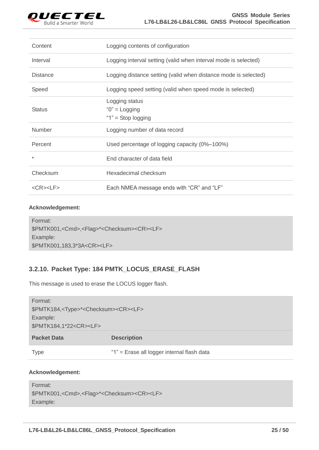

| Content               | Logging contents of configuration                               |
|-----------------------|-----------------------------------------------------------------|
| Interval              | Logging interval setting (valid when interval mode is selected) |
| <b>Distance</b>       | Logging distance setting (valid when distance mode is selected) |
| Speed                 | Logging speed setting (valid when speed mode is selected)       |
|                       | Logging status                                                  |
| <b>Status</b>         | " $0$ " = Logging                                               |
|                       | " $1"$ = Stop logging                                           |
| <b>Number</b>         | Logging number of data record                                   |
| Percent               | Used percentage of logging capacity (0%-100%)                   |
| $\ast$                | End character of data field                                     |
| Checksum              | Hexadecimal checksum                                            |
| $<$ CR $>$ $<$ LF $>$ | Each NMEA message ends with "CR" and "LF"                       |

| Format:                                                                      |
|------------------------------------------------------------------------------|
| \$PMTK001, <cmd>,<flag>*<checksum><cr><lf></lf></cr></checksum></flag></cmd> |
| Example:                                                                     |
| \$PMTK001,183,3*3A <cr><lf></lf></cr>                                        |

## <span id="page-25-0"></span>**3.2.10. Packet Type: 184 PMTK\_LOCUS\_ERASE\_FLASH**

This message is used to erase the LOCUS logger flash.

| Format:                                                                       |                                            |
|-------------------------------------------------------------------------------|--------------------------------------------|
| \$PMTK184, <type>*<checksum><cr><lf><br/>Example:</lf></cr></checksum></type> |                                            |
|                                                                               |                                            |
| <b>Packet Data</b>                                                            | <b>Description</b>                         |
|                                                                               |                                            |
| Type                                                                          | "1" = Erase all logger internal flash data |

#### **Acknowledgement:**

```
Format: 
$PMTK001,<Cmd>,<Flag>*<Checksum><CR><LF>
Example:
```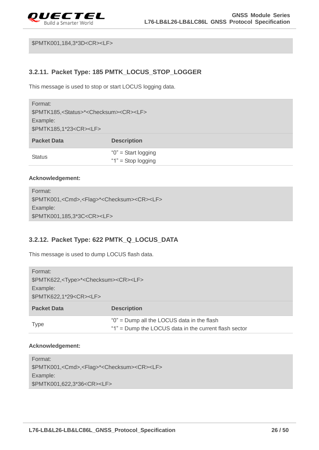

\$PMTK001,184,3\*3D<CR><LF>

## <span id="page-26-0"></span>**3.2.11. Packet Type: 185 PMTK\_LOCUS\_STOP\_LOGGER**

This message is used to stop or start LOCUS logging data.

| Format:                                                              |                    |
|----------------------------------------------------------------------|--------------------|
| \$PMTK185, <status>*<checksum><cr><lf></lf></cr></checksum></status> |                    |
| Example:                                                             |                    |
| \$PMTK185,1*23 <cr><lf></lf></cr>                                    |                    |
|                                                                      |                    |
| <b>Packet Data</b>                                                   | <b>Description</b> |

#### **Acknowledgement:**

Format: \$PMTK001,<Cmd>,<Flag>\*<Checksum><CR><LF> Example: \$PMTK001,185,3\*3C<CR><LF>

## <span id="page-26-1"></span>**3.2.12. Packet Type: 622 PMTK\_Q\_LOCUS\_DATA**

This message is used to dump LOCUS flash data.

| Format:                                                          |                                                                                                     |
|------------------------------------------------------------------|-----------------------------------------------------------------------------------------------------|
| \$PMTK622, <type>*<checksum><cr><lf></lf></cr></checksum></type> |                                                                                                     |
| Example:                                                         |                                                                                                     |
| \$PMTK622,1*29 <cr><lf></lf></cr>                                |                                                                                                     |
| <b>Packet Data</b>                                               | <b>Description</b>                                                                                  |
| <b>Type</b>                                                      | "0" = Dump all the LOCUS data in the flash<br>"1" = Dump the LOCUS data in the current flash sector |

#### **Acknowledgement:**

Format: \$PMTK001,<Cmd>,<Flag>\*<Checksum><CR><LF> Example: \$PMTK001,622,3\*36<CR><LF>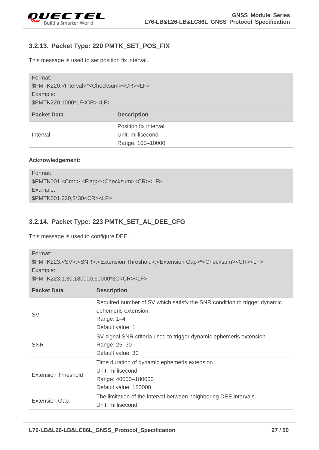

## <span id="page-27-0"></span>**3.2.13. Packet Type: 220 PMTK\_SET\_POS\_FIX**

This message is used to set position fix interval.

| Format:<br>\$PMTK220, <lnterval>*<checksum><cr><lf><br/>Example:<br/>\$PMTK220,1000*1F<cr><lf></lf></cr></lf></cr></checksum></lnterval> |                       |
|------------------------------------------------------------------------------------------------------------------------------------------|-----------------------|
| <b>Packet Data</b>                                                                                                                       | <b>Description</b>    |
|                                                                                                                                          | Position fix interval |
| Interval                                                                                                                                 | Unit: millisecond     |
|                                                                                                                                          | Range: 100-10000      |

#### **Acknowledgement:**

| Format:                                                                      |
|------------------------------------------------------------------------------|
| \$PMTK001, <cmd>,<flag>*<checksum><cr><lf></lf></cr></checksum></flag></cmd> |
| Example:                                                                     |
| \$PMTK001,220,3*30 <cr><lf></lf></cr>                                        |

## <span id="page-27-1"></span>**3.2.14. Packet Type: 223 PMTK\_SET\_AL\_DEE\_CFG**

This message is used to configure DEE.

| Format:<br>\$PMTK223, <sv>,<snr>,<extension threshold="">,<extension gap="">*<checksum><cr><lf><br/>Example:<br/>\$PMTK223,1,30,180000,60000*3C<cr><lf></lf></cr></lf></cr></checksum></extension></extension></snr></sv> |                                                                                                                                    |
|---------------------------------------------------------------------------------------------------------------------------------------------------------------------------------------------------------------------------|------------------------------------------------------------------------------------------------------------------------------------|
| <b>Packet Data</b>                                                                                                                                                                                                        | <b>Description</b>                                                                                                                 |
| SV                                                                                                                                                                                                                        | Required number of SV which satisfy the SNR condition to trigger dynamic<br>ephemeris extension.<br>Range: 1-4<br>Default value: 1 |
| <b>SNR</b>                                                                                                                                                                                                                | SV signal SNR criteria used to trigger dynamic ephemeris extension.<br>Range: 25-30<br>Default value: 30                           |
| <b>Extension Threshold</b>                                                                                                                                                                                                | Time duration of dynamic ephemeris extension.<br>Unit: millisecond<br>Range: 40000-180000<br>Default value: 180000                 |
| <b>Extension Gap</b>                                                                                                                                                                                                      | The limitation of the interval between neighboring DEE intervals.<br>Unit: millisecond                                             |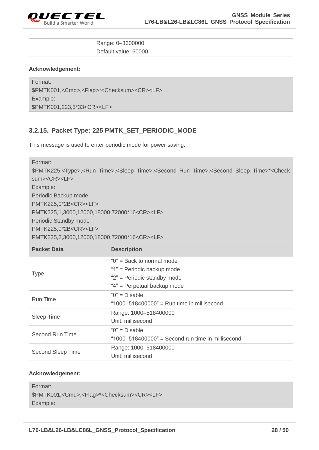

#### Range: 0–3600000 Default value: 60000

#### **Acknowledgement:**

Format: \$PMTK001,<Cmd>,<Flag>\*<Checksum><CR><LF> Example: \$PMTK001,223,3\*33<CR><LF>

## <span id="page-28-0"></span>**3.2.15. Packet Type: 225 PMTK\_SET\_PERIODIC\_MODE**

This message is used to enter periodic mode for power saving.

| Format:<br>\$PMTK225, <type>,<run time="">,<sleep time="">,<second run="" time="">,<second sleep="" time="">*<check<br>sum&gt;<cr><le><br/>Example:<br/>Periodic Backup mode<br/>PMTK225,0*2B<cr><lf><br/>PMTK225,1,3000,12000,18000,72000*16<cr><lf><br/>Periodic Standby mode<br/>PMTK225,0*2B<cr><lf><br/>PMTK225,2,3000,12000,18000,72000*16<cr><lf></lf></cr></lf></cr></lf></cr></lf></cr></le></cr></check<br></second></second></sleep></run></type> |                                                                                                                           |
|--------------------------------------------------------------------------------------------------------------------------------------------------------------------------------------------------------------------------------------------------------------------------------------------------------------------------------------------------------------------------------------------------------------------------------------------------------------|---------------------------------------------------------------------------------------------------------------------------|
| <b>Packet Data</b>                                                                                                                                                                                                                                                                                                                                                                                                                                           | <b>Description</b>                                                                                                        |
| <b>Type</b>                                                                                                                                                                                                                                                                                                                                                                                                                                                  | " $0$ " = Back to normal mode<br>"1" = Periodic backup mode<br>"2" = Periodic standby mode<br>"4" = Perpetual backup mode |
| <b>Run Time</b>                                                                                                                                                                                                                                                                                                                                                                                                                                              | " $0$ " = Disable<br>"1000-518400000" = Run time in millisecond                                                           |
| Sleep Time                                                                                                                                                                                                                                                                                                                                                                                                                                                   | Range: 1000-518400000<br>Unit: millisecond                                                                                |
| Second Run Time                                                                                                                                                                                                                                                                                                                                                                                                                                              | " $0$ " = Disable<br>"1000-518400000" = Second run time in millisecond                                                    |
| Second Sleep Time                                                                                                                                                                                                                                                                                                                                                                                                                                            | Range: 1000-518400000<br>Unit: millisecond                                                                                |

#### **Acknowledgement:**

```
Format: 
$PMTK001,<Cmd>,<Flag>*<Checksum><CR><LF>
Example:
```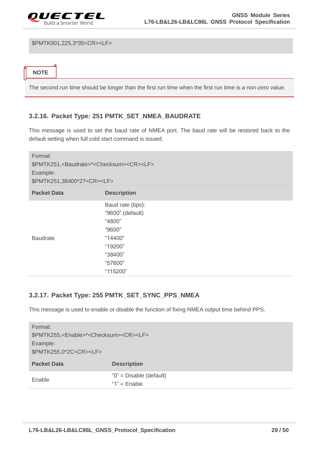

\$PMTK001,225,3\*35<CR><LF>

**NOTE**

The second run time should be longer than the first run time when the first run time is a non-zero value.

## <span id="page-29-0"></span>**3.2.16. Packet Type: 251 PMTK\_SET\_NMEA\_BAUDRATE**

This message is used to set the baud rate of NMEA port. The baud rate will be restored back to the default setting when full cold start command is issued.

| Format:<br>\$PMTK251, <baudrate>*<checksum><cr><lf><br/>Example:<br/>\$PMTK251,38400*27<cr><lf></lf></cr></lf></cr></checksum></baudrate> |                                                                                                                  |
|-------------------------------------------------------------------------------------------------------------------------------------------|------------------------------------------------------------------------------------------------------------------|
| <b>Packet Data</b>                                                                                                                        | <b>Description</b>                                                                                               |
| <b>Baudrate</b>                                                                                                                           | Baud rate (bps):<br>"9600" (default)<br>"4800"<br>"9600"<br>"14400"<br>"19200"<br>"38400"<br>"57600"<br>"115200" |

## <span id="page-29-1"></span>**3.2.17. Packet Type: 255 PMTK\_SET\_SYNC\_PPS\_NMEA**

This message is used to enable or disable the function of fixing NMEA output time behind PPS.

| Format:                                                              |                             |
|----------------------------------------------------------------------|-----------------------------|
| \$PMTK255, <enable>*<checksum><cr><lf></lf></cr></checksum></enable> |                             |
| Example:                                                             |                             |
| \$PMTK255,0*2C <cr><lf></lf></cr>                                    |                             |
| <b>Packet Data</b>                                                   | <b>Description</b>          |
| Enable                                                               | " $0$ " = Disable (default) |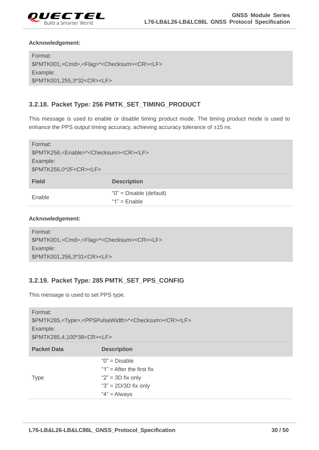

Format: \$PMTK001,<Cmd>,<Flag>\*<Checksum><CR><LF> Example: \$PMTK001,255,3\*32<CR><LF>

## <span id="page-30-0"></span>**3.2.18. Packet Type: 256 PMTK\_SET\_TIMING\_PRODUCT**

This message is used to enable or disable timing product mode. The timing product mode is used to enhance the PPS output timing accuracy, achieving accuracy tolerance of ±15 ns.

| Format:                                                              |                             |
|----------------------------------------------------------------------|-----------------------------|
| \$PMTK256, <enable>*<checksum><cr><lf></lf></cr></checksum></enable> |                             |
| Example:                                                             |                             |
| \$PMTK256,0*2F <cr><lf></lf></cr>                                    |                             |
| <b>Field</b>                                                         | <b>Description</b>          |
|                                                                      |                             |
| Enable                                                               | " $0$ " = Disable (default) |
|                                                                      | " $1"$ = Enable             |

#### **Acknowledgement:**

```
Format: 
$PMTK001,<Cmd>,<Flag>*<Checksum><CR><LF>
Example:
$PMTK001,256,3*31<CR><LF>
```
## <span id="page-30-1"></span>**3.2.19. Packet Type: 285 PMTK\_SET\_PPS\_CONFIG**

This message is used to set PPS type.

| Format:<br>\$PMTK285, <type>,<ppspulsewidth>*<checksum><cr><lf><br/>Example:<br/>\$PMTK285,4,100*38<cr><lf></lf></cr></lf></cr></checksum></ppspulsewidth></type> |                                                                      |  |
|-------------------------------------------------------------------------------------------------------------------------------------------------------------------|----------------------------------------------------------------------|--|
| <b>Packet Data</b>                                                                                                                                                | <b>Description</b>                                                   |  |
|                                                                                                                                                                   | " $0$ " = Disable<br>"1" $=$ After the first fix                     |  |
| <b>Type</b>                                                                                                                                                       | " $2$ " = 3D fix only<br>" $3$ " = 2D/3D fix only<br>" $4" =$ Always |  |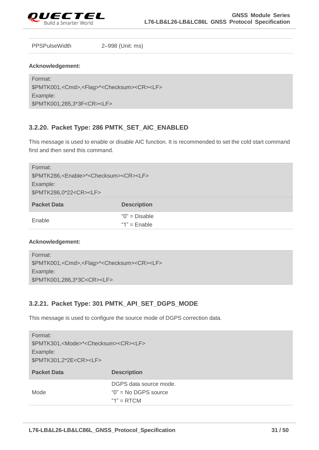

PPSPulseWidth 2–998 (Unit: ms)

#### **Acknowledgement:**

Format: \$PMTK001,<Cmd>,<Flag>\*<Checksum><CR><LF> Example: \$PMTK001,285,3\*3F<CR><LF>

## <span id="page-31-0"></span>**3.2.20. Packet Type: 286 PMTK\_SET\_AIC\_ENABLED**

This message is used to enable or disable AIC function. It is recommended to set the cold start command first and then send this command.

| Format:                                                              |                    |
|----------------------------------------------------------------------|--------------------|
| \$PMTK286, <enable>*<checksum><cr><lf></lf></cr></checksum></enable> |                    |
| Example:                                                             |                    |
| \$PMTK286,0*22 <cr><lf></lf></cr>                                    |                    |
| <b>Packet Data</b>                                                   | <b>Description</b> |
| Enable                                                               | " $0$ " = Disable  |
|                                                                      | " $1"$ = Enable    |

#### **Acknowledgement:**

| Format:                                                                      |
|------------------------------------------------------------------------------|
| \$PMTK001, <cmd>,<flag>*<checksum><cr><lf></lf></cr></checksum></flag></cmd> |
| Example:                                                                     |
| \$PMTK001,286,3*3C <cr><lf></lf></cr>                                        |

## <span id="page-31-1"></span>**3.2.21. Packet Type: 301 PMTK\_API\_SET\_DGPS\_MODE**

This message is used to configure the source mode of DGPS correction data.

| Format:                                                          |                        |
|------------------------------------------------------------------|------------------------|
| \$PMTK301, <mode>*<checksum><cr><lf></lf></cr></checksum></mode> |                        |
| Example:                                                         |                        |
| \$PMTK301,2*2E <cr><lf></lf></cr>                                |                        |
| <b>Packet Data</b>                                               | <b>Description</b>     |
|                                                                  | DGPS data source mode. |
| Mode                                                             | $"0"$ = No DGPS source |
|                                                                  | " $1" = RTCM$          |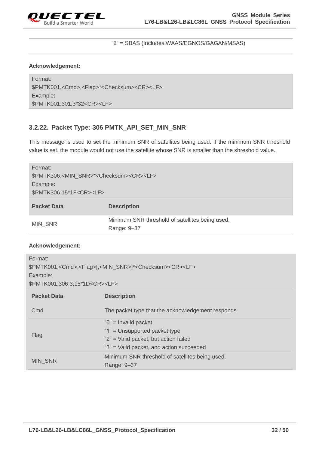

#### "2" = SBAS (Includes WAAS/EGNOS/GAGAN/MSAS)

#### **Acknowledgement:**

Format: \$PMTK001,<Cmd>,<Flag>\*<Checksum><CR><LF> Example: \$PMTK001,301,3\*32<CR><LF>

## <span id="page-32-0"></span>**3.2.22. Packet Type: 306 PMTK\_API\_SET\_MIN\_SNR**

This message is used to set the minimum SNR of satellites being used. If the minimum SNR threshold value is set, the module would not use the satellite whose SNR is smaller than the shreshold value.

| Format:<br>\$PMTK306, <min_snr>*<checksum><cr><lf><br/>Example:<br/>\$PMTK306,15*1F<cr><lf></lf></cr></lf></cr></checksum></min_snr> |                                                                |
|--------------------------------------------------------------------------------------------------------------------------------------|----------------------------------------------------------------|
| <b>Packet Data</b>                                                                                                                   | <b>Description</b>                                             |
| <b>MIN SNR</b>                                                                                                                       | Minimum SNR threshold of satellites being used.<br>Range: 9-37 |

#### **Acknowledgement:**

| Format:<br>\$PMTK001, <cmd>,<flag>[,<min_snr>]*<checksum><cr><lf><br/>Example:<br/>\$PMTK001,306,3,15*1D<cr><lf></lf></cr></lf></cr></checksum></min_snr></flag></cmd> |                                                                                                                                                |  |
|------------------------------------------------------------------------------------------------------------------------------------------------------------------------|------------------------------------------------------------------------------------------------------------------------------------------------|--|
| <b>Packet Data</b>                                                                                                                                                     | <b>Description</b>                                                                                                                             |  |
| Cmd                                                                                                                                                                    | The packet type that the acknowledgement responds                                                                                              |  |
| Flag                                                                                                                                                                   | " $0$ " = Invalid packet<br>"1" = Unsupported packet type<br>"2" = Valid packet, but action failed<br>"3" = Valid packet, and action succeeded |  |
| <b>MIN SNR</b>                                                                                                                                                         | Minimum SNR threshold of satellites being used.<br>Range: 9-37                                                                                 |  |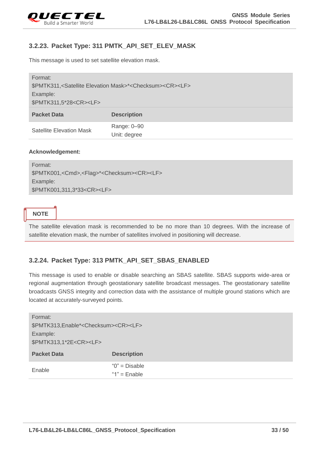

## <span id="page-33-0"></span>**3.2.23. Packet Type: 311 PMTK\_API\_SET\_ELEV\_MASK**

This message is used to set satellite elevation mask.

| Format:                                                                                         |                    |  |
|-------------------------------------------------------------------------------------------------|--------------------|--|
| \$PMTK311, <satellite elevation="" mask="">*<checksum><cr><lf></lf></cr></checksum></satellite> |                    |  |
| Example:                                                                                        |                    |  |
| \$PMTK311,5*28 <cr><lf></lf></cr>                                                               |                    |  |
| <b>Packet Data</b>                                                                              | <b>Description</b> |  |
| <b>Satellite Elevation Mask</b>                                                                 | Range: 0-90        |  |
|                                                                                                 | Unit: degree       |  |

#### **Acknowledgement:**

Format: \$PMTK001,<Cmd>,<Flag>\*<Checksum><CR><LF> Example: \$PMTK001,311,3\*33<CR><LF>

#### **NOTE**

The satellite elevation mask is recommended to be no more than 10 degrees. With the increase of satellite elevation mask, the number of satellites involved in positioning will decrease.

## <span id="page-33-1"></span>**3.2.24. Packet Type: 313 PMTK\_API\_SET\_SBAS\_ENABLED**

This message is used to enable or disable searching an SBAS satellite. SBAS supports wide-area or regional augmentation through geostationary satellite broadcast messages. The geostationary satellite broadcasts GNSS integrity and correction data with the assistance of multiple ground stations which are located at accurately-surveyed points.

| Format:                                                    |                                      |  |
|------------------------------------------------------------|--------------------------------------|--|
| \$PMTK313, Enable* <checksum><cr><lf></lf></cr></checksum> |                                      |  |
| Example:                                                   |                                      |  |
| \$PMTK313,1*2E <cr><lf></lf></cr>                          |                                      |  |
| <b>Packet Data</b>                                         | <b>Description</b>                   |  |
| Enable                                                     | " $0$ " = Disable<br>" $1"$ = Enable |  |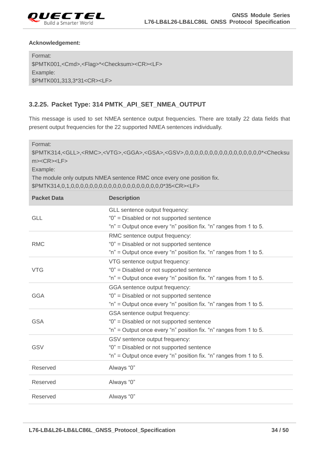

Format: \$PMTK001,<Cmd>,<Flag>\*<Checksum><CR><LF> Example: \$PMTK001,313,3\*31<CR><LF>

## <span id="page-34-0"></span>**3.2.25. Packet Type: 314 PMTK\_API\_SET\_NMEA\_OUTPUT**

This message is used to set NMEA sentence output frequencies. There are totally 22 data fields that present output frequencies for the 22 supported NMEA sentences individually.

Format: \$PMTK314,<GLL>,<RMC>,<VTG>,<GGA>,<GSA>,<GSV>,0,0,0,0,0,0,0,0,0,0,0,0,0,0,0,0\*<Checksu m><CR><LF> Example: The module only outputs NMEA sentence RMC once every one position fix. \$PMTK314,0,1,0,0,0,0,0,0,0,0,0,0,0,0,0,0,0,0,0,0,0,0\*35<CR><LF>

| <b>Packet Data</b> | <b>Description</b>                                                                                                                              |
|--------------------|-------------------------------------------------------------------------------------------------------------------------------------------------|
| <b>GLL</b>         | GLL sentence output frequency:<br>"0" = Disabled or not supported sentence<br>"n" = Output once every "n" position fix. "n" ranges from 1 to 5. |
| <b>RMC</b>         | RMC sentence output frequency:<br>"0" = Disabled or not supported sentence<br>"n" = Output once every "n" position fix. "n" ranges from 1 to 5. |
| <b>VTG</b>         | VTG sentence output frequency:<br>"0" = Disabled or not supported sentence<br>"n" = Output once every "n" position fix. "n" ranges from 1 to 5. |
| <b>GGA</b>         | GGA sentence output frequency:<br>"0" = Disabled or not supported sentence<br>"n" = Output once every "n" position fix. "n" ranges from 1 to 5. |
| <b>GSA</b>         | GSA sentence output frequency:<br>"0" = Disabled or not supported sentence<br>"n" = Output once every "n" position fix. "n" ranges from 1 to 5. |
| <b>GSV</b>         | GSV sentence output frequency:<br>"0" = Disabled or not supported sentence<br>"n" = Output once every "n" position fix. "n" ranges from 1 to 5. |
| Reserved           | Always "0"                                                                                                                                      |
| Reserved           | Always "0"                                                                                                                                      |
| Reserved           | Always "0"                                                                                                                                      |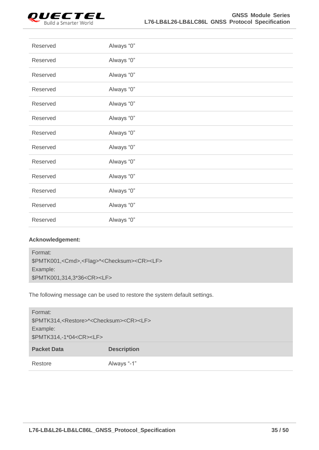

| Reserved | Always "0" |
|----------|------------|
| Reserved | Always "0" |
| Reserved | Always "0" |
| Reserved | Always "0" |
| Reserved | Always "0" |
| Reserved | Always "0" |
| Reserved | Always "0" |
| Reserved | Always "0" |
| Reserved | Always "0" |
| Reserved | Always "0" |
| Reserved | Always "0" |
| Reserved | Always "0" |
| Reserved | Always "0" |

| Format:                                                                      |  |
|------------------------------------------------------------------------------|--|
| \$PMTK001, <cmd>,<flag>*<checksum><cr><lf></lf></cr></checksum></flag></cmd> |  |
| Example:                                                                     |  |
| \$PMTK001,314,3*36 <cr><lf></lf></cr>                                        |  |
|                                                                              |  |

The following message can be used to restore the system default settings.

| Format:                                                                |                    |
|------------------------------------------------------------------------|--------------------|
| \$PMTK314, <restore>*<checksum><cr><lf></lf></cr></checksum></restore> |                    |
| Example:                                                               |                    |
| \$PMTK314,-1*04 <cr><lf></lf></cr>                                     |                    |
| <b>Packet Data</b>                                                     | <b>Description</b> |
|                                                                        |                    |
| Restore                                                                | Always "-1"        |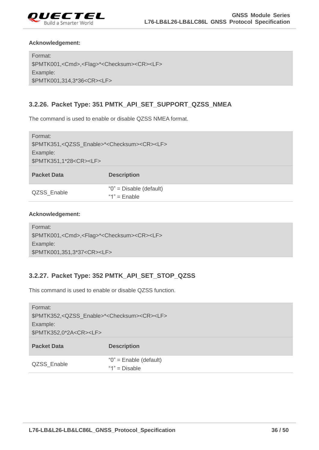

Format: \$PMTK001,<Cmd>,<Flag>\*<Checksum><CR><LF> Example: \$PMTK001,314,3\*36<CR><LF>

## <span id="page-36-0"></span>**3.2.26. Packet Type: 351 PMTK\_API\_SET\_SUPPORT\_QZSS\_NMEA**

The command is used to enable or disable QZSS NMEA format.

| Format:<br>\$PMTK351, <qzss_enable>*<checksum><cr><lf><br/>Example:<br/>\$PMTK351,1*28<cr><lf></lf></cr></lf></cr></checksum></qzss_enable> |                                               |  |
|---------------------------------------------------------------------------------------------------------------------------------------------|-----------------------------------------------|--|
| <b>Packet Data</b>                                                                                                                          | <b>Description</b>                            |  |
| QZSS Enable                                                                                                                                 | " $0$ " = Disable (default)<br>"1" = $Enable$ |  |

#### **Acknowledgement:**

```
Format: 
$PMTK001,<Cmd>,<Flag>*<Checksum><CR><LF>
Example:
$PMTK001,351,3*37<CR><LF>
```
## <span id="page-36-1"></span>**3.2.27. Packet Type: 352 PMTK\_API\_SET\_STOP\_QZSS**

This command is used to enable or disable QZSS function.

| Format:<br>\$PMTK352, <qzss enable="">*<checksum><cr><lf><br/>Example:<br/>\$PMTK352,0*2A<cr><lf></lf></cr></lf></cr></checksum></qzss> |                                            |  |
|-----------------------------------------------------------------------------------------------------------------------------------------|--------------------------------------------|--|
| <b>Packet Data</b>                                                                                                                      | <b>Description</b>                         |  |
| QZSS Enable                                                                                                                             | "0" = Enable (default)<br>" $1"$ = Disable |  |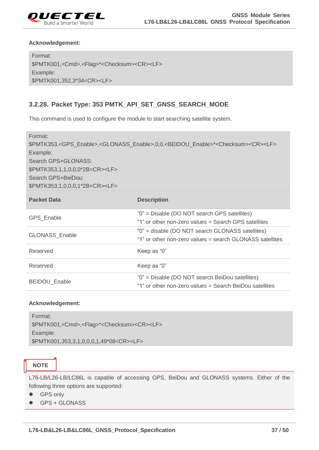

Format: \$PMTK001,<Cmd>,<Flag>\*<Checksum><CR><LF> Example: \$PMTK001,352,3\*34<CR><LF>

## <span id="page-37-0"></span>**3.2.28. Packet Type: 353 PMTK\_API\_SET\_GNSS\_SEARCH\_MODE**

This command is used to configure the module to start searching satellite system.

Format: \$PMTK353,<GPS\_Enable>,<GLONASS\_Enable>,0,0,<BEIDOU\_Enable>\*<Checksum><CR><LF> Example: Search GPS+GLONASS: \$PMTK353,1,1,0,0,0\*2B<CR><LF> Search GPS+BeiDou: \$PMTK353,1,0,0,0,1\*2B<CR><LF>

| <b>Packet Data</b>    | <b>Description</b>                                                                                           |  |
|-----------------------|--------------------------------------------------------------------------------------------------------------|--|
| <b>GPS Enable</b>     | "0" = Disable (DO NOT search GPS satellites)<br>"1" or other non-zero values = Search GPS satellites         |  |
| <b>GLONASS Enable</b> | "0" = disable (DO NOT search GLONASS satellites)<br>"1" or other non-zero values = search GLONASS satellites |  |
| Reserved              | Keep as "0"                                                                                                  |  |
| Reserved              | Keep as "0"                                                                                                  |  |
| <b>BEIDOU Enable</b>  | "0" = Disable (DO NOT search BeiDou satellites)<br>"1" or other non-zero values = Search BeiDou satellites   |  |

#### **Acknowledgement:**

| Format:                                                                      |
|------------------------------------------------------------------------------|
| \$PMTK001, <cmd>,<flag>*<checksum><cr><lf></lf></cr></checksum></flag></cmd> |
| Example:                                                                     |
| \$PMTK001,353,3,1,0,0,0,1,49*08 <cr><lf></lf></cr>                           |

## **NOTE**

L76-LB/L26-LB/LC86L is capable of accessing GPS, BeiDou and GLONASS systems. Either of the following three options are supported:

- **•** GPS only
- GPS + GLONASS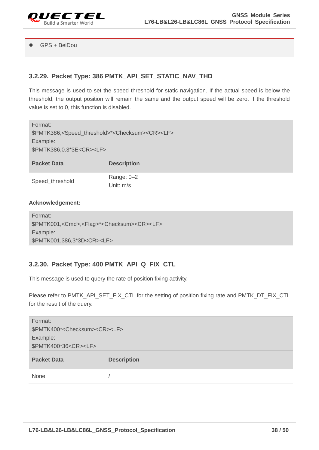

#### GPS + BeiDou

## <span id="page-38-0"></span>**3.2.29. Packet Type: 386 PMTK\_API\_SET\_STATIC\_NAV\_THD**

This message is used to set the speed threshold for static navigation. If the actual speed is below the threshold, the output position will remain the same and the output speed will be zero. If the threshold value is set to 0, this function is disabled.

| Format:                                                                                |                    |  |
|----------------------------------------------------------------------------------------|--------------------|--|
| \$PMTK386, <speed_threshold>*<checksum><cr><lf></lf></cr></checksum></speed_threshold> |                    |  |
| Example:                                                                               |                    |  |
| \$PMTK386,0.3*3E <cr><lf></lf></cr>                                                    |                    |  |
|                                                                                        |                    |  |
| <b>Packet Data</b>                                                                     | <b>Description</b> |  |
|                                                                                        | Range: 0-2         |  |
| Speed_threshold                                                                        | Unit: m/s          |  |

#### **Acknowledgement:**

| Format:                                                                      |
|------------------------------------------------------------------------------|
| \$PMTK001, <cmd>,<flag>*<checksum><cr><lf></lf></cr></checksum></flag></cmd> |
| Example:                                                                     |
| \$PMTK001,386,3*3D <cr><lf></lf></cr>                                        |

## <span id="page-38-1"></span>**3.2.30. Packet Type: 400 PMTK\_API\_Q\_FIX\_CTL**

This message is used to query the rate of position fixing activity.

Please refer to PMTK\_API\_SET\_FIX\_CTL for the setting of position fixing rate and PMTK\_DT\_FIX\_CTL for the result of the query.

| Format:                                            |                    |
|----------------------------------------------------|--------------------|
| \$PMTK400* <checksum><cr><lf></lf></cr></checksum> |                    |
| Example:                                           |                    |
| \$PMTK400*36 <cr><lf></lf></cr>                    |                    |
|                                                    |                    |
| <b>Packet Data</b>                                 | <b>Description</b> |
| None                                               |                    |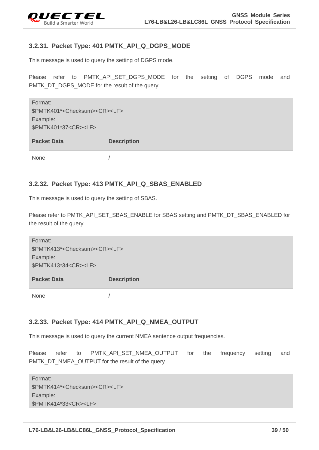

## <span id="page-39-0"></span>**3.2.31. Packet Type: 401 PMTK\_API\_Q\_DGPS\_MODE**

This message is used to query the setting of DGPS mode.

Please refer to PMTK\_API\_SET\_DGPS\_MODE for the setting of DGPS mode and PMTK\_DT\_DGPS\_MODE for the result of the query.

| Format:                                            |                    |  |
|----------------------------------------------------|--------------------|--|
| \$PMTK401* <checksum><cr><lf></lf></cr></checksum> |                    |  |
| Example:                                           |                    |  |
| \$PMTK401*37 <cr><lf></lf></cr>                    |                    |  |
|                                                    |                    |  |
| <b>Packet Data</b>                                 | <b>Description</b> |  |
|                                                    |                    |  |

## <span id="page-39-1"></span>**3.2.32. Packet Type: 413 PMTK\_API\_Q\_SBAS\_ENABLED**

This message is used to query the setting of SBAS.

Please refer to PMTK\_API\_SET\_SBAS\_ENABLE for SBAS setting and PMTK\_DT\_SBAS\_ENABLED for the result of the query.

| Format:                                            |                    |  |
|----------------------------------------------------|--------------------|--|
| \$PMTK413* <checksum><cr><lf></lf></cr></checksum> |                    |  |
| Example:                                           |                    |  |
| \$PMTK413*34 <cr><lf></lf></cr>                    |                    |  |
|                                                    |                    |  |
| <b>Packet Data</b>                                 | <b>Description</b> |  |
| None                                               |                    |  |

## <span id="page-39-2"></span>**3.2.33. Packet Type: 414 PMTK\_API\_Q\_NMEA\_OUTPUT**

This message is used to query the current NMEA sentence output frequencies.

Please refer to PMTK\_API\_SET\_NMEA\_OUTPUT for the frequency setting and PMTK\_DT\_NMEA\_OUTPUT for the result of the query.

| Format:                                            |
|----------------------------------------------------|
| \$PMTK414* <checksum><cr><lf></lf></cr></checksum> |
| Example:                                           |
| \$PMTK414*33 <cr><lf></lf></cr>                    |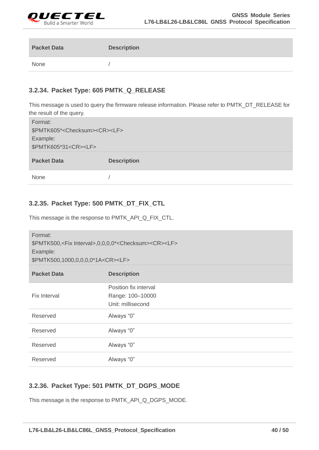

| <b>Packet Data</b> | <b>Description</b> |
|--------------------|--------------------|
| None               |                    |

## <span id="page-40-0"></span>**3.2.34. Packet Type: 605 PMTK\_Q\_RELEASE**

This message is used to query the firmware release information. Please refer to PMTK\_DT\_RELEASE for the result of the query.

| Format:                                            |                    |  |
|----------------------------------------------------|--------------------|--|
| \$PMTK605* <checksum><cr><lf></lf></cr></checksum> |                    |  |
| Example:                                           |                    |  |
| \$PMTK605*31 <cr><lf></lf></cr>                    |                    |  |
| <b>Packet Data</b>                                 | <b>Description</b> |  |
| <b>None</b>                                        |                    |  |

## <span id="page-40-1"></span>**3.2.35. Packet Type: 500 PMTK\_DT\_FIX\_CTL**

This message is the response to PMTK\_API\_Q\_FIX\_CTL.

| Format:<br>\$PMTK500, <fix interval="">,0,0,0,0*<checksum><cr><lf><br/>Example:<br/>\$PMTK500,1000,0,0,0,0,0*1A<cr><lf></lf></cr></lf></cr></checksum></fix> |                                                                |  |
|--------------------------------------------------------------------------------------------------------------------------------------------------------------|----------------------------------------------------------------|--|
| <b>Packet Data</b>                                                                                                                                           | <b>Description</b>                                             |  |
| <b>Fix Interval</b>                                                                                                                                          | Position fix interval<br>Range: 100-10000<br>Unit: millisecond |  |
| Reserved                                                                                                                                                     | Always "0"                                                     |  |
| Reserved                                                                                                                                                     | Always "0"                                                     |  |
| Reserved                                                                                                                                                     | Always "0"                                                     |  |
| Reserved                                                                                                                                                     | Always "0"                                                     |  |

## <span id="page-40-2"></span>**3.2.36. Packet Type: 501 PMTK\_DT\_DGPS\_MODE**

This message is the response to PMTK\_API\_Q\_DGPS\_MODE.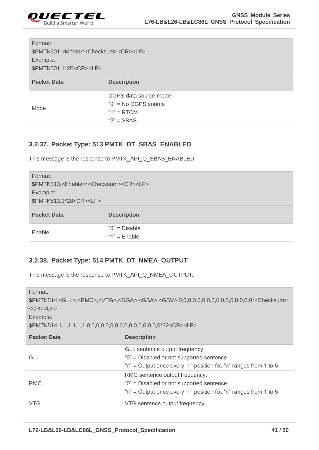

| Format:<br>\$PMTK501, <mode>*<checksum><cr><lf><br/>Example:<br/>\$PMTK501,1*2B<cr><lf></lf></cr></lf></cr></checksum></mode> |                                                                                   |
|-------------------------------------------------------------------------------------------------------------------------------|-----------------------------------------------------------------------------------|
| <b>Packet Data</b>                                                                                                            | <b>Description</b>                                                                |
| Mode                                                                                                                          | DGPS data source mode<br>$"0"$ = No DGPS source<br>" $1" = RTCM$<br>" $2"$ = SBAS |

## <span id="page-41-0"></span>**3.2.37. Packet Type: 513 PMTK\_DT\_SBAS\_ENABLED**

This message is the response to PMTK\_API\_Q\_SBAS\_ENABLED.

| Format:<br>\$PMTK513, <enable>*<checksum><cr><lf><br/>Example:<br/>\$PMTK513,1*28<cr><lf></lf></cr></lf></cr></checksum></enable> |                                      |
|-----------------------------------------------------------------------------------------------------------------------------------|--------------------------------------|
| <b>Packet Data</b>                                                                                                                | <b>Description</b>                   |
| Enable                                                                                                                            | " $0$ " = Disable<br>" $1"$ = Enable |

## <span id="page-41-1"></span>**3.2.38. Packet Type: 514 PMTK\_DT\_NMEA\_OUTPUT**

This message is the response to PMTK\_API\_Q\_NMEA\_OUTPUT.

| Format:<br>\$PMTK514, <gll>,<rmc>,<vtg>,<gga>,<gsa>,<gsv>,0,0,0,0,0,0,0,0,0,0,0,0,0,0,0,0,0<sup>+</sup><checksum><br/><math>&lt;</math>CR<math>&gt;</math><math>&lt;</math>LF<math>&gt;</math><br/>Example:</checksum></gsv></gsa></gga></vtg></rmc></gll> |                                                                                                                                                |
|------------------------------------------------------------------------------------------------------------------------------------------------------------------------------------------------------------------------------------------------------------|------------------------------------------------------------------------------------------------------------------------------------------------|
| <b>Packet Data</b>                                                                                                                                                                                                                                         | <b>Description</b>                                                                                                                             |
| GLL                                                                                                                                                                                                                                                        | GLL sentence output frequency:<br>"0" = Disabled or not supported sentence<br>"n" = Output once every "n" position fix. "n" ranges from 1 to 5 |
| <b>RMC</b>                                                                                                                                                                                                                                                 | RMC sentence output frequency:<br>"0" = Disabled or not supported sentence<br>"n" = Output once every "n" position fix. "n" ranges from 1 to 5 |
| VTG                                                                                                                                                                                                                                                        | VTG sentence output frequency:                                                                                                                 |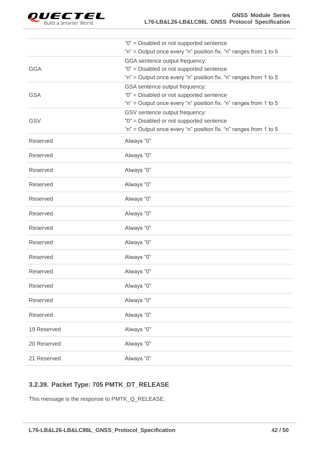

|             | "0" = Disabled or not supported sentence                         |
|-------------|------------------------------------------------------------------|
|             | "n" = Output once every "n" position fix. "n" ranges from 1 to 5 |
|             | GGA sentence output frequency:                                   |
| <b>GGA</b>  | "0" = Disabled or not supported sentence                         |
|             | "n" = Output once every "n" position fix. "n" ranges from 1 to 5 |
|             | GSA sentence output frequency:                                   |
| <b>GSA</b>  | "0" = Disabled or not supported sentence                         |
|             | "n" = Output once every "n" position fix. "n" ranges from 1 to 5 |
|             | GSV sentence output frequency:                                   |
| <b>GSV</b>  | "0" = Disabled or not supported sentence                         |
|             | "n" = Output once every "n" position fix. "n" ranges from 1 to 5 |
|             |                                                                  |
| Reserved    | Always "0"                                                       |
| Reserved    | Always "0"                                                       |
|             |                                                                  |
| Reserved    | Always "0"                                                       |
| Reserved    | Always "0"                                                       |
|             |                                                                  |
| Reserved    | Always "0"                                                       |
| Reserved    | Always "0"                                                       |
|             |                                                                  |
| Reserved    | Always "0"                                                       |
|             |                                                                  |
| Reserved    | Always "0"                                                       |
| Reserved    | Always "0"                                                       |
|             |                                                                  |
| Reserved    | Always "0"                                                       |
|             |                                                                  |
| Reserved    | Always "0"                                                       |
| Reserved    | Always "0"                                                       |
|             |                                                                  |
| Reserved    | Always "0"                                                       |
| 19 Reserved | Always "0"                                                       |
|             |                                                                  |
| 20 Reserved | Always "0"                                                       |
|             |                                                                  |
| 21 Reserved | Always "0"                                                       |

## <span id="page-42-0"></span>**3.2.39. Packet Type: 705 PMTK\_DT\_RELEASE**

This message is the response to PMTK\_Q\_RELEASE.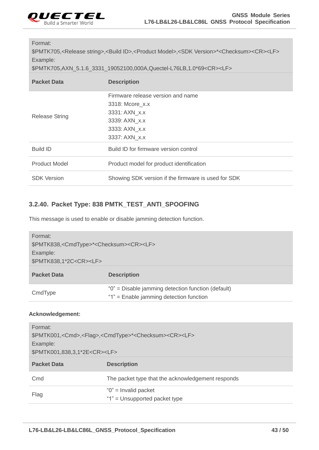

#### Format:

\$PMTK705,<Release string>,<Build ID>,<Product Model>,<SDK Version>\*<Checksum><CR><LF> Example:

\$PMTK705,AXN\_5.1.6\_3331\_19052100,000A,Quectel-L76LB,1.0\*69<CR><LF>

| <b>Packet Data</b>    | <b>Description</b>                                  |
|-----------------------|-----------------------------------------------------|
|                       | Firmware release version and name                   |
|                       | 3318: Mcore_x.x                                     |
|                       | 3331: AXN x.x                                       |
| <b>Release String</b> | 3339: AXN x.x                                       |
|                       | 3333: AXN x.x                                       |
|                       | 3337: AXN x.x                                       |
| <b>Build ID</b>       | Build ID for firmware version control               |
| <b>Product Model</b>  | Product model for product identification            |
| <b>SDK Version</b>    | Showing SDK version if the firmware is used for SDK |

## <span id="page-43-0"></span>**3.2.40. Packet Type: 838 PMTK\_TEST\_ANTI\_SPOOFING**

This message is used to enable or disable jamming detection function.

| Format:<br>\$PMTK838, <cmdtype>*<checksum><cr><lf><br/>Example:<br/>\$PMTK838,1*2C<cr><lf></lf></cr></lf></cr></checksum></cmdtype> |                                                                                               |
|-------------------------------------------------------------------------------------------------------------------------------------|-----------------------------------------------------------------------------------------------|
| <b>Packet Data</b>                                                                                                                  | <b>Description</b>                                                                            |
| CmdType                                                                                                                             | "0" = Disable jamming detection function (default)<br>"1" = Enable jamming detection function |

#### **Acknowledgement:**

| Format:<br>\$PMTK001, <cmd>,<flag>,<cmdtype>*<checksum><cr><lf><br/>Example:<br/>\$PMTK001,838,3,1*2E<cr><lf></lf></cr></lf></cr></checksum></cmdtype></flag></cmd> |                                                           |
|---------------------------------------------------------------------------------------------------------------------------------------------------------------------|-----------------------------------------------------------|
| <b>Packet Data</b>                                                                                                                                                  | <b>Description</b>                                        |
| Cmd                                                                                                                                                                 | The packet type that the acknowledgement responds         |
| Flag                                                                                                                                                                | " $0$ " = Invalid packet<br>"1" = Unsupported packet type |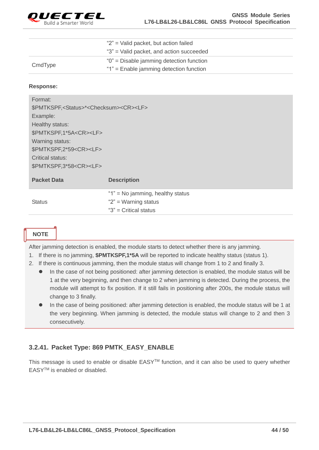

|         | " $2$ " = Valid packet, but action failed |
|---------|-------------------------------------------|
|         | "3" = Valid packet, and action succeeded  |
| CmdType | "0" = Disable jamming detection function  |
|         | "1" = Enable jamming detection function   |

#### **Response:**

| Format:                                                              |                                      |
|----------------------------------------------------------------------|--------------------------------------|
| \$PMTKSPF, <status>*<checksum><cr><lf></lf></cr></checksum></status> |                                      |
| Example:                                                             |                                      |
| Healthy status:                                                      |                                      |
| \$PMTKSPF,1*5A <cr><lf></lf></cr>                                    |                                      |
| Warning status:                                                      |                                      |
| \$PMTKSPF,2*59 <cr><lf></lf></cr>                                    |                                      |
| Critical status:                                                     |                                      |
| \$PMTKSPF,3*58 <cr><lf></lf></cr>                                    |                                      |
| <b>Packet Data</b>                                                   | <b>Description</b>                   |
|                                                                      |                                      |
|                                                                      | " $1$ " = No jamming, healthy status |
| <b>Status</b>                                                        | " $2$ " = Warning status             |
|                                                                      | " $3"$ = Critical status             |

## **NOTE**

After jamming detection is enabled, the module starts to detect whether there is any jamming.

- 1. If there is no jamming, **\$PMTKSPF,1\*5A** will be reported to indicate healthy status (status 1).
- 2. If there is continuous jamming, then the module status will change from 1 to 2 and finally 3.
	- In the case of not being positioned: after jamming detection is enabled, the module status will be 1 at the very beginning, and then change to 2 when jamming is detected. During the process, the module will attempt to fix position. If it still fails in positioning after 200s, the module status will change to 3 finally.
	- In the case of being positioned: after jamming detection is enabled, the module status will be 1 at the very beginning. When jamming is detected, the module status will change to 2 and then 3 consecutively.

## <span id="page-44-0"></span>**3.2.41. Packet Type: 869 PMTK\_EASY\_ENABLE**

This message is used to enable or disable EASY<sup>™</sup> function, and it can also be used to query whether EASYTM is enabled or disabled.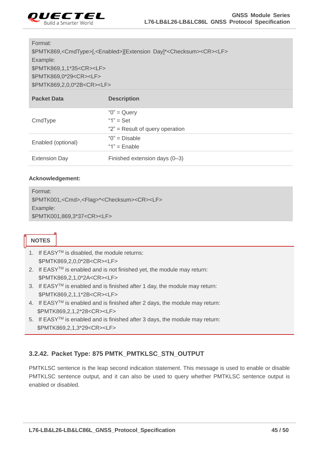

#### Format:

\$PMTK869,<CmdType>[,<Enabled>][Extension Day]\*<Checksum><CR><LF> Example: \$PMTK869,1,1\*35<CR><LF> \$PMTK869,0\*29<CR><LF> \$PMTK869,2,0,0\*2B<CR><LF>

| <b>Packet Data</b>   | <b>Description</b>                                                     |
|----------------------|------------------------------------------------------------------------|
| CmdType              | " $0$ " = Query<br>" $1" = Set$<br>" $2$ " = Result of query operation |
| Enabled (optional)   | " $0$ " = Disable<br>" $1"$ = Enable                                   |
| <b>Extension Day</b> | Finished extension days (0-3)                                          |

#### **Acknowledgement:**

Format: \$PMTK001,<Cmd>,<Flag>\*<Checksum><CR><LF> Example: \$PMTK001,869,3\*37<CR><LF>

## **NOTES**

- 1. If EASYTM is disabled, the module returns: \$PMTK869,2,0,0\*2B<CR><LF>
- 2. If EASY<sup>™</sup> is enabled and is not finished yet, the module may return: \$PMTK869,2,1,0\*2A<CR><LF>
- 3. If EASYTM is enabled and is finished after 1 day, the module may return: \$PMTK869,2,1,1\*2B<CR><LF>
- 4. If EASY<sup>TM</sup> is enabled and is finished after 2 days, the module may return: \$PMTK869,2,1,2\*28<CR><LF>
- 5. If EASYTM is enabled and is finished after 3 days, the module may return: \$PMTK869,2,1,3\*29<CR><LF>

## <span id="page-45-0"></span>**3.2.42. Packet Type: 875 PMTK\_PMTKLSC\_STN\_OUTPUT**

PMTKLSC sentence is the leap second indication statement. This message is used to enable or disable PMTKLSC sentence output, and it can also be used to query whether PMTKLSC sentence output is enabled or disabled.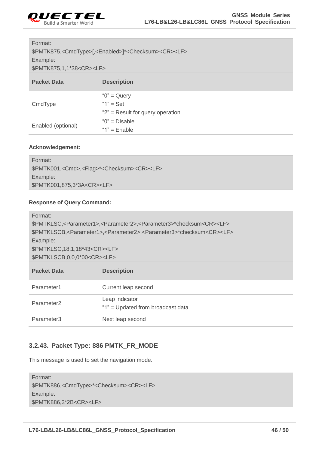

## Format:

\$PMTK875,<CmdType>[,<Enabled>]\*<Checksum><CR><LF> Example:

\$PMTK875,1,1\*38<CR><LF>

| <b>Packet Data</b> | <b>Description</b>                   |
|--------------------|--------------------------------------|
| CmdType            | " $0$ " = Query                      |
|                    | " $1"$ = Set                         |
|                    | " $2$ " = Result for query operation |
| Enabled (optional) | " $0$ " = Disable                    |
|                    | " $1"$ = Enable                      |

#### **Acknowledgement:**

| Format:                                                                      |
|------------------------------------------------------------------------------|
| \$PMTK001, <cmd>,<flag>*<checksum><cr><lf></lf></cr></checksum></flag></cmd> |
| Example:                                                                     |
| \$PMTK001,875,3*3A <cr><lf></lf></cr>                                        |

#### **Response of Query Command:**

| Parameter1             | Current leap second                                 |
|------------------------|-----------------------------------------------------|
| Parameter <sub>2</sub> | Leap indicator<br>"1" = Updated from broadcast data |
| Parameter3             | Next leap second                                    |

## <span id="page-46-0"></span>**3.2.43. Packet Type: 886 PMTK\_FR\_MODE**

This message is used to set the navigation mode.

| Format:                                                                |
|------------------------------------------------------------------------|
| \$PMTK886, <cmdtype>*<checksum><cr><lf></lf></cr></checksum></cmdtype> |
| Example:                                                               |
| \$PMTK886,3*2B <cr><lf></lf></cr>                                      |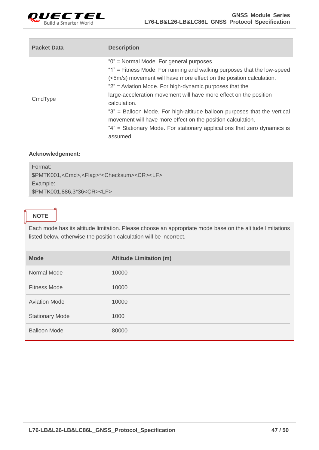

| <b>Packet Data</b> | <b>Description</b>                                                                                                                                                                                                                                                                                                                                                                                                                                                                                                                                                            |
|--------------------|-------------------------------------------------------------------------------------------------------------------------------------------------------------------------------------------------------------------------------------------------------------------------------------------------------------------------------------------------------------------------------------------------------------------------------------------------------------------------------------------------------------------------------------------------------------------------------|
| CmdType            | "0" = Normal Mode. For general purposes.<br>"1" = Fitness Mode. For running and walking purposes that the low-speed<br>(<5m/s) movement will have more effect on the position calculation.<br>"2" = Aviation Mode. For high-dynamic purposes that the<br>large-acceleration movement will have more effect on the position<br>calculation.<br>"3" = Balloon Mode. For high-altitude balloon purposes that the vertical<br>movement will have more effect on the position calculation.<br>"4" = Stationary Mode. For stationary applications that zero dynamics is<br>assumed. |

| Format:                                                                      |
|------------------------------------------------------------------------------|
| \$PMTK001, <cmd>,<flag>*<checksum><cr><lf></lf></cr></checksum></flag></cmd> |
| Example:                                                                     |
| \$PMTK001,886,3*36 <cr><lf></lf></cr>                                        |
|                                                                              |

## **NOTE**

Each mode has its altitude limitation. Please choose an appropriate mode base on the altitude limitations listed below, otherwise the position calculation will be incorrect.

| <b>Mode</b>            | <b>Altitude Limitation (m)</b> |
|------------------------|--------------------------------|
| Normal Mode            | 10000                          |
| <b>Fitness Mode</b>    | 10000                          |
| <b>Aviation Mode</b>   | 10000                          |
| <b>Stationary Mode</b> | 1000                           |
| <b>Balloon Mode</b>    | 80000                          |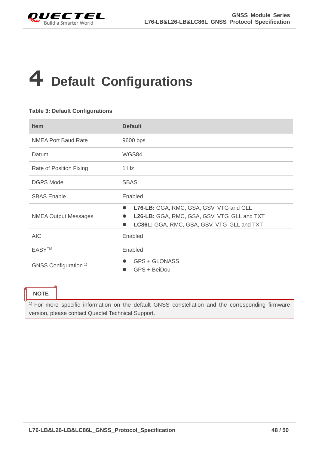<span id="page-48-0"></span>

## **4 Default Configurations**

#### <span id="page-48-1"></span>**Table 3: Default Configurations**

| <b>Item</b>                      | <b>Default</b>                                                                                                                                                   |
|----------------------------------|------------------------------------------------------------------------------------------------------------------------------------------------------------------|
| <b>NMEA Port Baud Rate</b>       | 9600 bps                                                                                                                                                         |
| Datum                            | WGS84                                                                                                                                                            |
| Rate of Position Fixing          | 1 Hz                                                                                                                                                             |
| <b>DGPS Mode</b>                 | <b>SBAS</b>                                                                                                                                                      |
| <b>SBAS Enable</b>               | Enabled                                                                                                                                                          |
| <b>NMEA Output Messages</b>      | L76-LB: GGA, RMC, GSA, GSV, VTG and GLL<br>$\bullet$<br>L26-LB: GGA, RMC, GSA, GSV, VTG, GLL and TXT<br>LC86L: GGA, RMC, GSA, GSV, VTG, GLL and TXT<br>$\bullet$ |
| AIC                              | Enabled                                                                                                                                                          |
| <b>EASYTM</b>                    | Enabled                                                                                                                                                          |
| GNSS Configuration <sup>1)</sup> | GPS + GLONASS<br>GPS + BeiDou                                                                                                                                    |

## **NOTE**

<sup>1)</sup> For more specific information on the default GNSS constellation and the corresponding firmware version, please contact Quectel Technical Support.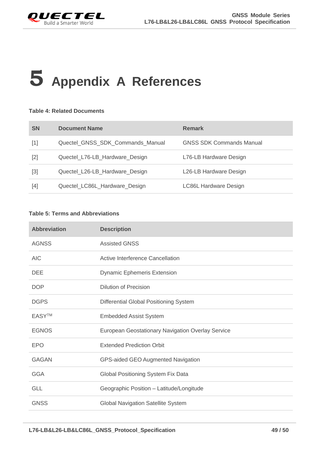

# <span id="page-49-0"></span>**5 Appendix A References**

#### <span id="page-49-1"></span>**Table 4: Related Documents**

| <b>SN</b>                                                                                                                                                  | <b>Document Name</b>             | <b>Remark</b>                   |
|------------------------------------------------------------------------------------------------------------------------------------------------------------|----------------------------------|---------------------------------|
| $[1]$                                                                                                                                                      | Quectel_GNSS_SDK_Commands_Manual | <b>GNSS SDK Commands Manual</b> |
| $[2]$                                                                                                                                                      | Quectel_L76-LB_Hardware_Design   | L76-LB Hardware Design          |
| $[3] % \includegraphics[width=0.9\columnwidth]{figures/fig_1a} \caption{Schematic diagram of the top of the top of the top of the right.} \label{fig:1} %$ | Quectel_L26-LB_Hardware_Design   | L26-LB Hardware Design          |
| $[4]$                                                                                                                                                      | Quectel_LC86L_Hardware_Design    | <b>LC86L Hardware Design</b>    |

#### <span id="page-49-2"></span>**Table 5: Terms and Abbreviations**

| <b>Abbreviation</b> | <b>Description</b>                                |
|---------------------|---------------------------------------------------|
| <b>AGNSS</b>        | <b>Assisted GNSS</b>                              |
| <b>AIC</b>          | Active Interference Cancellation                  |
| <b>DEE</b>          | <b>Dynamic Ephemeris Extension</b>                |
| <b>DOP</b>          | Dilution of Precision                             |
| <b>DGPS</b>         | Differential Global Positioning System            |
| <b>EASYTM</b>       | <b>Embedded Assist System</b>                     |
| <b>EGNOS</b>        | European Geostationary Navigation Overlay Service |
| <b>EPO</b>          | <b>Extended Prediction Orbit</b>                  |
| <b>GAGAN</b>        | GPS-aided GEO Augmented Navigation                |
| <b>GGA</b>          | Global Positioning System Fix Data                |
| <b>GLL</b>          | Geographic Position - Latitude/Longitude          |
| <b>GNSS</b>         | <b>Global Navigation Satellite System</b>         |